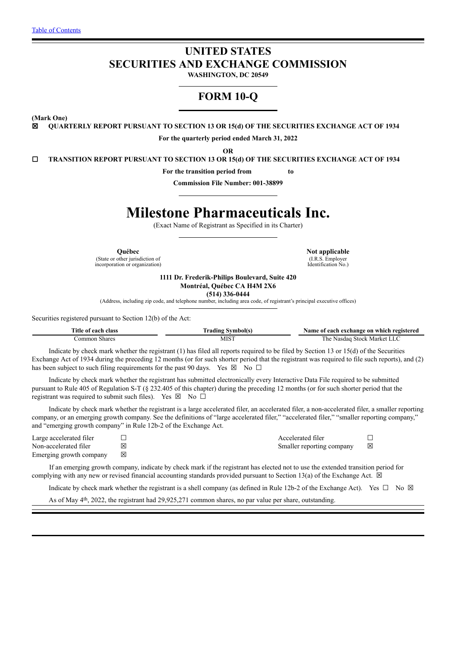# **UNITED STATES SECURITIES AND EXCHANGE COMMISSION**

**WASHINGTON, DC 20549**

# **FORM 10-Q**

**(Mark One)**

☒ **QUARTERLY REPORT PURSUANT TO SECTION 13 OR 15(d) OF THE SECURITIES EXCHANGE ACT OF 1934**

**For the quarterly period ended March 31, 2022**

**OR**

☐ **TRANSITION REPORT PURSUANT TO SECTION 13 OR 15(d) OF THE SECURITIES EXCHANGE ACT OF 1934**

**For the transition period from to**

**Commission File Number: 001-38899**

# **Milestone Pharmaceuticals Inc.**

(Exact Name of Registrant as Specified in its Charter)

(State or other jurisdiction of incorporation or organization)

**Québec Not applicable** (I.R.S. Employer Identification No.)

> **1111 Dr. Frederik-Philips Boulevard, Suite 420 Montréal, Québec CA H4M 2X6**

**(514) 336-0444**

(Address, including zip code, and telephone number, including area code, of registrant's principal executive offices)

Securities registered pursuant to Section 12(b) of the Act:

| `itle of<br>class<br>eacr | <b>BACK</b><br>ding | registered<br>. exchange on which •<br>Name<br>each |
|---------------------------|---------------------|-----------------------------------------------------|
| .ommor<br>Shares          | 71 L V              | Market<br>. he<br>Nasdac<br>. Stock                 |

Indicate by check mark whether the registrant (1) has filed all reports required to be filed by Section 13 or 15(d) of the Securities Exchange Act of 1934 during the preceding 12 months (or for such shorter period that the registrant was required to file such reports), and (2) has been subject to such filing requirements for the past 90 days. Yes  $\boxtimes$  No  $\Box$ 

Indicate by check mark whether the registrant has submitted electronically every Interactive Data File required to be submitted pursuant to Rule 405 of Regulation S-T (§ 232.405 of this chapter) during the preceding 12 months (or for such shorter period that the registrant was required to submit such files). Yes  $\boxtimes$  No  $\Box$ 

Indicate by check mark whether the registrant is a large accelerated filer, an accelerated filer, a non-accelerated filer, a smaller reporting company, or an emerging growth company. See the definitions of "large accelerated filer," "accelerated filer," "smaller reporting company," and "emerging growth company" in Rule 12b-2 of the Exchange Act.

Large accelerated filer □ □ □ □ □ △ △ △ △ △ Accelerated filer □ Non-accelerated filer  $\boxtimes$   $\boxtimes$ Emerging growth company  $\boxtimes$ 

If an emerging growth company, indicate by check mark if the registrant has elected not to use the extended transition period for complying with any new or revised financial accounting standards provided pursuant to Section 13(a) of the Exchange Act.  $\boxtimes$ 

Indicate by check mark whether the registrant is a shell company (as defined in Rule 12b-2 of the Exchange Act). Yes  $\Box$  No  $\boxtimes$ 

As of May 4<sup>th</sup>, 2022, the registrant had 29,925,271 common shares, no par value per share, outstanding.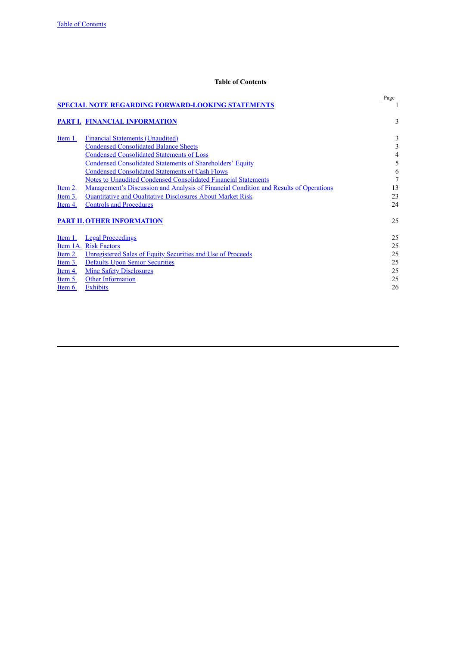# **Table of Contents**

<span id="page-1-0"></span>

|           | <b>SPECIAL NOTE REGARDING FORWARD-LOOKING STATEMENTS</b>                                     | Page |
|-----------|----------------------------------------------------------------------------------------------|------|
|           | <b>PART I. FINANCIAL INFORMATION</b>                                                         | 3    |
| Item 1.   | <b>Financial Statements (Unaudited)</b>                                                      | 3    |
|           | <b>Condensed Consolidated Balance Sheets</b>                                                 | 3    |
|           | <b>Condensed Consolidated Statements of Loss</b>                                             | 4    |
|           | <b>Condensed Consolidated Statements of Shareholders' Equity</b>                             | 5    |
|           | <b>Condensed Consolidated Statements of Cash Flows</b>                                       | 6    |
|           | <b>Notes to Unaudited Condensed Consolidated Financial Statements</b>                        | 7    |
| Item $2.$ | <u>Management's Discussion and Analysis of Financial Condition and Results of Operations</u> | 13   |
| Item $3.$ | <b>Quantitative and Qualitative Disclosures About Market Risk</b>                            | 23   |
| Item 4.   | <b>Controls and Procedures</b>                                                               | 24   |
|           | <b>PART II. OTHER INFORMATION</b>                                                            | 25   |
| Item 1.   | <b>Legal Proceedings</b>                                                                     | 25   |
|           | Item 1A. Risk Factors                                                                        | 25   |
| Item $2.$ | Unregistered Sales of Equity Securities and Use of Proceeds                                  | 25   |
| Item 3.   | <b>Defaults Upon Senior Securities</b>                                                       | 25   |
| Item 4.   | <b>Mine Safety Disclosures</b>                                                               | 25   |
| Item 5.   | <b>Other Information</b>                                                                     | 25   |
| Item 6.   | <b>Exhibits</b>                                                                              | 26   |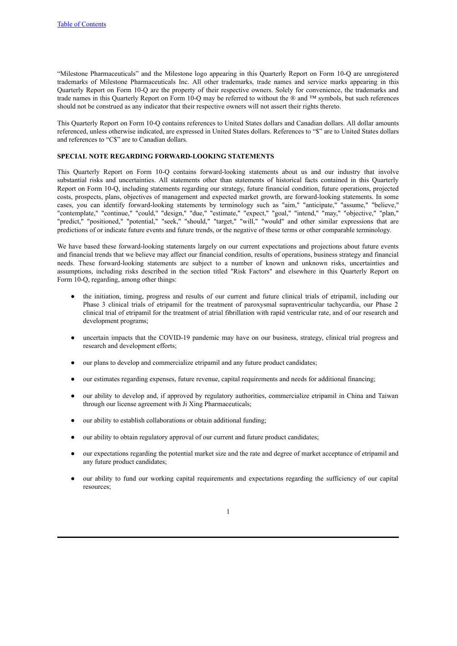"Milestone Pharmaceuticals" and the Milestone logo appearing in this Quarterly Report on Form 10-Q are unregistered trademarks of Milestone Pharmaceuticals Inc. All other trademarks, trade names and service marks appearing in this Quarterly Report on Form 10-Q are the property of their respective owners. Solely for convenience, the trademarks and trade names in this Quarterly Report on Form 10-Q may be referred to without the ® and ™ symbols, but such references should not be construed as any indicator that their respective owners will not assert their rights thereto.

This Quarterly Report on Form 10-Q contains references to United States dollars and Canadian dollars. All dollar amounts referenced, unless otherwise indicated, are expressed in United States dollars. References to "\$" are to United States dollars and references to "C\$" are to Canadian dollars.

#### <span id="page-2-0"></span>**SPECIAL NOTE REGARDING FORWARD-LOOKING STATEMENTS**

This Quarterly Report on Form 10-Q contains forward-looking statements about us and our industry that involve substantial risks and uncertainties. All statements other than statements of historical facts contained in this Quarterly Report on Form 10-Q, including statements regarding our strategy, future financial condition, future operations, projected costs, prospects, plans, objectives of management and expected market growth, are forward-looking statements. In some cases, you can identify forward-looking statements by terminology such as "aim," "anticipate," "assume," "believe," "contemplate," "continue," "could," "design," "due," "estimate," "expect," "goal," "intend," "may," "objective," "plan," "predict," "positioned," "potential," "seek," "should," "target," "will," "would" and other similar expressions that are predictions of or indicate future events and future trends, or the negative of these terms or other comparable terminology.

We have based these forward-looking statements largely on our current expectations and projections about future events and financial trends that we believe may affect our financial condition, results of operations, business strategy and financial needs. These forward-looking statements are subject to a number of known and unknown risks, uncertainties and assumptions, including risks described in the section titled "Risk Factors" and elsewhere in this Quarterly Report on Form 10-Q, regarding, among other things:

- the initiation, timing, progress and results of our current and future clinical trials of etripamil, including our Phase 3 clinical trials of etripamil for the treatment of paroxysmal supraventricular tachycardia, our Phase 2 clinical trial of etripamil for the treatment of atrial fibrillation with rapid ventricular rate, and of our research and development programs;
- uncertain impacts that the COVID-19 pandemic may have on our business, strategy, clinical trial progress and research and development efforts;
- our plans to develop and commercialize etripamil and any future product candidates;
- our estimates regarding expenses, future revenue, capital requirements and needs for additional financing;
- our ability to develop and, if approved by regulatory authorities, commercialize etripamil in China and Taiwan through our license agreement with Ji Xing Pharmaceuticals;
- our ability to establish collaborations or obtain additional funding;
- our ability to obtain regulatory approval of our current and future product candidates;
- our expectations regarding the potential market size and the rate and degree of market acceptance of etripamil and any future product candidates;
- our ability to fund our working capital requirements and expectations regarding the sufficiency of our capital resources;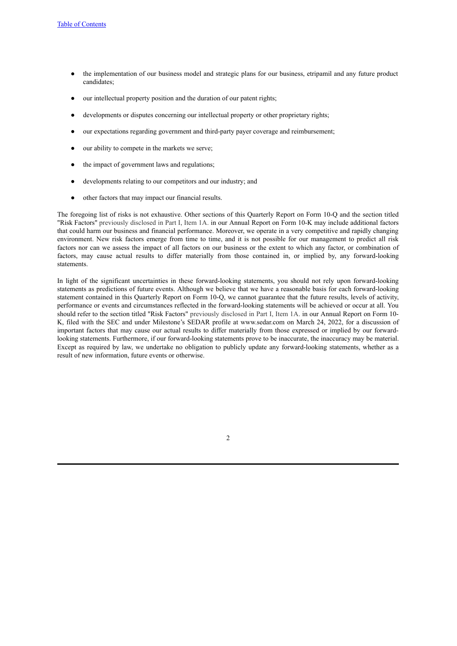- the implementation of our business model and strategic plans for our business, etripamil and any future product candidates;
- our intellectual property position and the duration of our patent rights;
- developments or disputes concerning our intellectual property or other proprietary rights;
- our expectations regarding government and third-party payer coverage and reimbursement;
- our ability to compete in the markets we serve;
- the impact of government laws and regulations;
- developments relating to our competitors and our industry; and
- other factors that may impact our financial results.

The foregoing list of risks is not exhaustive. Other sections of this Quarterly Report on Form 10-Q and the section titled "Risk Factors" previously disclosed in Part I, Item 1A. in our Annual Report on Form 10-K may include additional factors that could harm our business and financial performance. Moreover, we operate in a very competitive and rapidly changing environment. New risk factors emerge from time to time, and it is not possible for our management to predict all risk factors nor can we assess the impact of all factors on our business or the extent to which any factor, or combination of factors, may cause actual results to differ materially from those contained in, or implied by, any forward-looking statements.

In light of the significant uncertainties in these forward-looking statements, you should not rely upon forward-looking statements as predictions of future events. Although we believe that we have a reasonable basis for each forward-looking statement contained in this Quarterly Report on Form 10-Q, we cannot guarantee that the future results, levels of activity, performance or events and circumstances reflected in the forward-looking statements will be achieved or occur at all. You should refer to the section titled "Risk Factors" previously disclosed in Part I, Item 1A. in our Annual Report on Form 10- K, filed with the SEC and under Milestone's SEDAR profile at www.sedar.com on March 24, 2022, for a discussion of important factors that may cause our actual results to differ materially from those expressed or implied by our forwardlooking statements. Furthermore, if our forward-looking statements prove to be inaccurate, the inaccuracy may be material. Except as required by law, we undertake no obligation to publicly update any forward-looking statements, whether as a result of new information, future events or otherwise.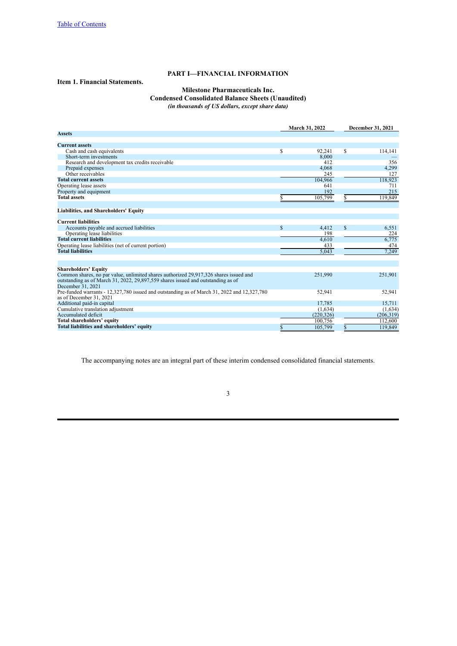# **PART I—FINANCIAL INFORMATION**

# <span id="page-4-2"></span><span id="page-4-1"></span><span id="page-4-0"></span>**Item 1. Financial Statements.**

# **Milestone Pharmaceuticals Inc. Condensed Consolidated Balance Sheets (Unaudited)** *(in thousands of US dollars, except share data)*

|                                                                                             | March 31, 2022 | December 31, 2021 |            |  |
|---------------------------------------------------------------------------------------------|----------------|-------------------|------------|--|
| <b>Assets</b>                                                                               |                |                   |            |  |
|                                                                                             |                |                   |            |  |
| <b>Current assets</b>                                                                       |                |                   |            |  |
| Cash and cash equivalents                                                                   | \$<br>92,241   | \$                | 114,141    |  |
| Short-term investments                                                                      | 8.000          |                   |            |  |
| Research and development tax credits receivable                                             | 412            |                   | 356        |  |
| Prepaid expenses                                                                            | 4,068          |                   | 4,299      |  |
| Other receivables                                                                           | 245            |                   | 127        |  |
| <b>Total current assets</b>                                                                 | 104,966        |                   | 118,923    |  |
| Operating lease assets                                                                      | 641            |                   | 711        |  |
| Property and equipment                                                                      | 192            |                   | 215        |  |
| <b>Total assets</b>                                                                         | 105,799        |                   | 119,849    |  |
|                                                                                             |                |                   |            |  |
| Liabilities, and Shareholders' Equity                                                       |                |                   |            |  |
|                                                                                             |                |                   |            |  |
| <b>Current liabilities</b>                                                                  |                |                   |            |  |
| Accounts payable and accrued liabilities                                                    | \$<br>4.412    | \$                | 6,551      |  |
| Operating lease liabilities                                                                 | 198            |                   | 224        |  |
| <b>Total current liabilities</b>                                                            | 4.610          |                   | 6,775      |  |
| Operating lease liabilities (net of current portion)                                        | 433            |                   | 474        |  |
| <b>Total liabilities</b>                                                                    | 5.043          |                   | 7.249      |  |
|                                                                                             |                |                   |            |  |
|                                                                                             |                |                   |            |  |
| <b>Shareholders' Equity</b>                                                                 |                |                   |            |  |
| Common shares, no par value, unlimited shares authorized 29,917,326 shares issued and       | 251,990        |                   | 251,901    |  |
| outstanding as of March 31, 2022, 29,897,559 shares issued and outstanding as of            |                |                   |            |  |
| December 31, 2021                                                                           |                |                   |            |  |
| Pre-funded warrants - 12,327,780 issued and outstanding as of March 31, 2022 and 12,327,780 | 52,941         |                   | 52,941     |  |
| as of December 31, 2021                                                                     |                |                   |            |  |
| Additional paid-in capital                                                                  | 17,785         |                   | 15,711     |  |
| Cumulative translation adjustment                                                           | (1,634)        |                   | (1,634)    |  |
| <b>Accumulated deficit</b>                                                                  | (220, 326)     |                   | (206, 319) |  |
| Total shareholders' equity                                                                  | 100,756        |                   | 112,600    |  |
| Total liabilities and shareholders' equity                                                  | \$<br>105,799  | \$                | 119,849    |  |

The accompanying notes are an integral part of these interim condensed consolidated financial statements.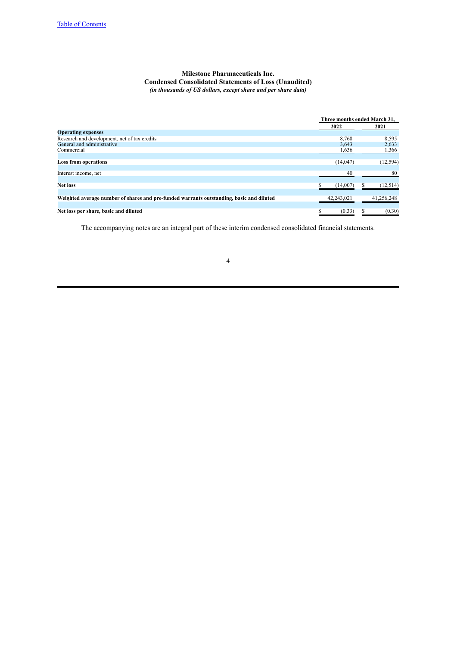# **Milestone Pharmaceuticals Inc. Condensed Consolidated Statements of Loss (Unaudited)** *(in thousands of US dollars, except share and per share data)*

<span id="page-5-0"></span>

| Three months ended March 31, |            |  |  |
|------------------------------|------------|--|--|
| 2022                         | 2021       |  |  |
|                              |            |  |  |
| 8.768                        | 8,595      |  |  |
| 3,643                        | 2,633      |  |  |
| 1,636                        | 1,366      |  |  |
|                              |            |  |  |
| (14, 047)                    | (12, 594)  |  |  |
|                              |            |  |  |
| 40                           | 80         |  |  |
|                              |            |  |  |
| (14,007)                     | (12, 514)  |  |  |
|                              |            |  |  |
| 42.243.021                   | 41.256.248 |  |  |
|                              |            |  |  |
| (0.33)                       | (0.30)     |  |  |
|                              |            |  |  |

The accompanying notes are an integral part of these interim condensed consolidated financial statements.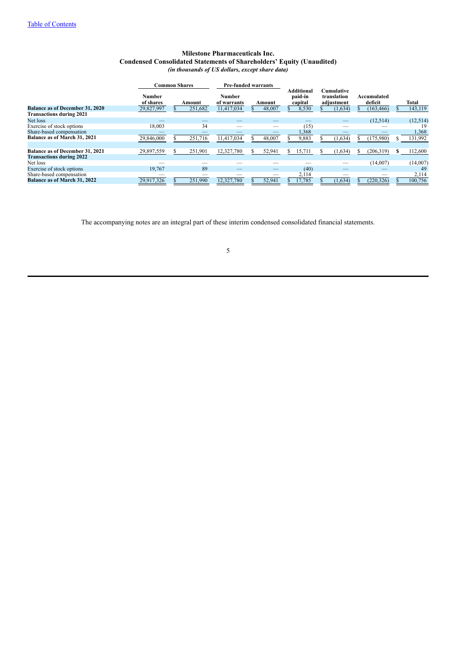# **Milestone Pharmaceuticals Inc. Condensed Consolidated Statements of Shareholders' Equity (Unaudited)** *(in thousands of US dollars, except share data)*

<span id="page-6-0"></span>

|                                        | <b>Common Shares</b><br><b>Pre-funded warrants</b> |  |         |                              |  |        |  |                                         |  |                                         |                        |           |
|----------------------------------------|----------------------------------------------------|--|---------|------------------------------|--|--------|--|-----------------------------------------|--|-----------------------------------------|------------------------|-----------|
|                                        | <b>Number</b><br>of shares                         |  | Amount  | <b>Number</b><br>of warrants |  | Amount |  | <b>Additional</b><br>paid-in<br>capital |  | Cumulative<br>translation<br>adjustment | Accumulated<br>deficit | Total     |
| <b>Balance as of December 31, 2020</b> | 29,827,997                                         |  | 251,682 | 11,417,034                   |  | 48,007 |  | 8,530                                   |  | (1,634)                                 | (163, 466)             | 143,119   |
| <b>Transactions during 2021</b>        |                                                    |  |         |                              |  |        |  |                                         |  |                                         |                        |           |
| Net loss                               |                                                    |  |         |                              |  |        |  |                                         |  |                                         | (12, 514)              | (12, 514) |
| Exercise of stock options              | 18,003                                             |  | 34      |                              |  |        |  | (15)                                    |  |                                         |                        | 19        |
| Share-based compensation               |                                                    |  |         |                              |  | __     |  | 1,368                                   |  |                                         |                        | 1,368     |
| Balance as of March 31, 2021           | 29,846,000                                         |  | 251,716 | 11,417,034                   |  | 48,007 |  | 9,883                                   |  | 1,634)                                  | (175,980)              | 131,992   |
|                                        |                                                    |  |         |                              |  |        |  |                                         |  |                                         |                        |           |
| Balance as of December 31, 2021        | 29,897,559                                         |  | 251,901 | 12,327,780                   |  | 52,941 |  | 15.711                                  |  | 1,634                                   | (206, 319)             | 112,600   |
| <b>Transactions during 2022</b>        |                                                    |  |         |                              |  |        |  |                                         |  |                                         |                        |           |
| Net loss                               |                                                    |  |         |                              |  |        |  |                                         |  |                                         | (14,007)               | (14,007)  |
| Exercise of stock options              | 19,767                                             |  | 89      |                              |  | __     |  | (40)                                    |  | __                                      |                        | 49        |
| Share-based compensation               |                                                    |  |         |                              |  |        |  | 2,114                                   |  |                                         |                        | 2,114     |
| Balance as of March 31, 2022           | 29.917.326                                         |  | 251,990 | 12,327,780                   |  | 52.941 |  | 7,785                                   |  | (1,634)                                 | (220, 326)             | 100,756   |

The accompanying notes are an integral part of these interim condensed consolidated financial statements.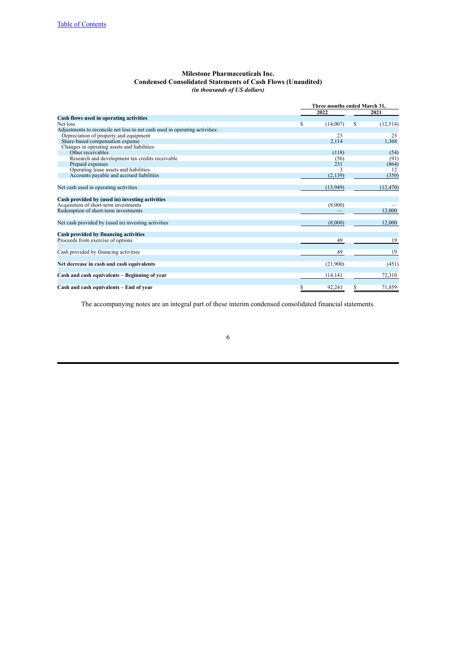# **Milestone Pharmaceuticals Inc. Condensed Consolidated Statements of Cash Flows (Unaudited)** *(in thousands of US dollars)*

<span id="page-7-0"></span>

|                                                                             |    | Three months ended March 31. |   |           |
|-----------------------------------------------------------------------------|----|------------------------------|---|-----------|
|                                                                             |    | 2022                         |   | 2021      |
| Cash flows used in operating activities                                     |    |                              |   |           |
| Net loss                                                                    | \$ | (14,007)                     | s | (12,514)  |
| Adjustments to reconcile net loss to net cash used in operating activities: |    |                              |   |           |
| Depreciation of property and equipment                                      |    | 23                           |   | 23        |
| Share-based compensation expense                                            |    | 2,114                        |   | 1,368     |
| Changes in operating assets and liabilities:                                |    |                              |   |           |
| Other receivables                                                           |    | (118)                        |   | (54)      |
| Research and development tax credits receivable                             |    | (56)                         |   | (91)      |
| Prepaid expenses                                                            |    | 231                          |   | (864)     |
| Operating lease assets and liabilities                                      |    |                              |   | 12        |
| Accounts payable and accrued liabilities                                    |    | (2, 139)                     |   | (350)     |
| Net cash used in operating activities                                       |    | (13,949)                     |   | (12, 470) |
| Cash provided by (used in) investing activities                             |    |                              |   |           |
| Acquisition of short-term investments                                       |    | (8,000)                      |   |           |
| Redemption of short-term investments                                        |    |                              |   | 12.000    |
| Net cash provided by (used in) investing activities                         |    | (8,000)                      |   | 12.000    |
| Cash provided by financing activities                                       |    |                              |   |           |
| Proceeds from exercise of options                                           |    | 49                           |   | 19        |
| Cash provided by financing activities                                       |    | 49                           |   | 19        |
| Net decrease in cash and cash equivalents                                   |    | (21,900)                     |   | (451)     |
| Cash and cash equivalents – Beginning of year                               |    | 114,141                      |   | 72,310    |
| Cash and cash equivalents - End of year                                     | \$ | 92,241                       | S | 71,859    |

The accompanying notes are an integral part of these interim condensed consolidated financial statements.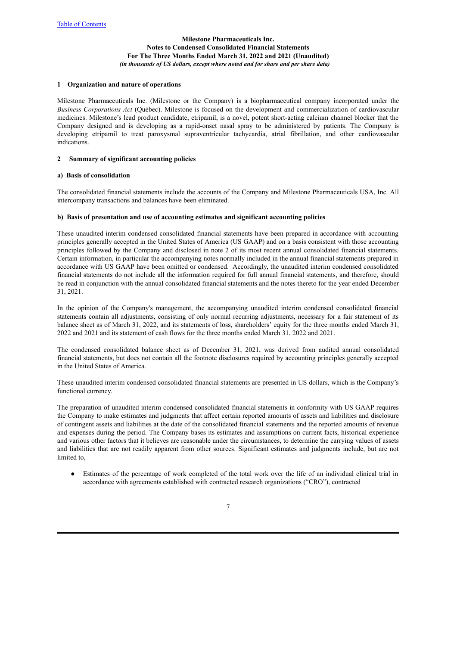#### <span id="page-8-0"></span>**1 Organization and nature of operations**

Milestone Pharmaceuticals Inc. (Milestone or the Company) is a biopharmaceutical company incorporated under the *Business Corporations Act* (Québec). Milestone is focused on the development and commercialization of cardiovascular medicines. Milestone's lead product candidate, etripamil, is a novel, potent short-acting calcium channel blocker that the Company designed and is developing as a rapid-onset nasal spray to be administered by patients. The Company is developing etripamil to treat paroxysmal supraventricular tachycardia, atrial fibrillation, and other cardiovascular indications.

#### **2 Summary of significant accounting policies**

#### **a) Basis of consolidation**

The consolidated financial statements include the accounts of the Company and Milestone Pharmaceuticals USA, Inc. All intercompany transactions and balances have been eliminated.

#### **b) Basis of presentation and use of accounting estimates and significant accounting policies**

These unaudited interim condensed consolidated financial statements have been prepared in accordance with accounting principles generally accepted in the United States of America (US GAAP) and on a basis consistent with those accounting principles followed by the Company and disclosed in note 2 of its most recent annual consolidated financial statements. Certain information, in particular the accompanying notes normally included in the annual financial statements prepared in accordance with US GAAP have been omitted or condensed. Accordingly, the unaudited interim condensed consolidated financial statements do not include all the information required for full annual financial statements, and therefore, should be read in conjunction with the annual consolidated financial statements and the notes thereto for the year ended December 31, 2021.

In the opinion of the Company's management, the accompanying unaudited interim condensed consolidated financial statements contain all adjustments, consisting of only normal recurring adjustments, necessary for a fair statement of its balance sheet as of March 31, 2022, and its statements of loss, shareholders' equity for the three months ended March 31, 2022 and 2021 and its statement of cash flows for the three months ended March 31, 2022 and 2021.

The condensed consolidated balance sheet as of December 31, 2021, was derived from audited annual consolidated financial statements, but does not contain all the footnote disclosures required by accounting principles generally accepted in the United States of America.

These unaudited interim condensed consolidated financial statements are presented in US dollars, which is the Company's functional currency.

The preparation of unaudited interim condensed consolidated financial statements in conformity with US GAAP requires the Company to make estimates and judgments that affect certain reported amounts of assets and liabilities and disclosure of contingent assets and liabilities at the date of the consolidated financial statements and the reported amounts of revenue and expenses during the period. The Company bases its estimates and assumptions on current facts, historical experience and various other factors that it believes are reasonable under the circumstances, to determine the carrying values of assets and liabilities that are not readily apparent from other sources. Significant estimates and judgments include, but are not limited to,

Estimates of the percentage of work completed of the total work over the life of an individual clinical trial in accordance with agreements established with contracted research organizations ("CRO"), contracted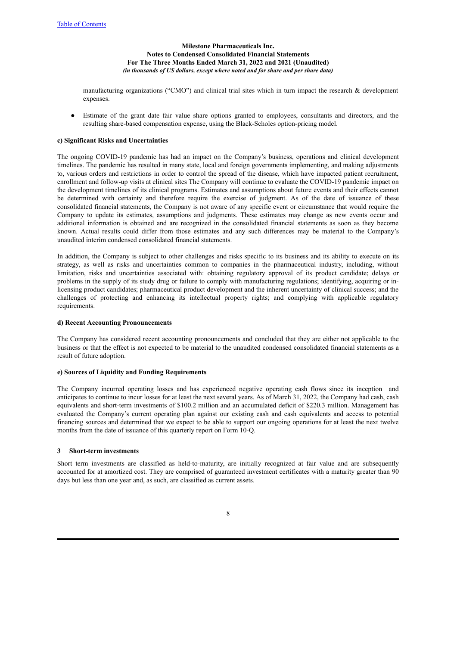manufacturing organizations ("CMO") and clinical trial sites which in turn impact the research & development expenses.

Estimate of the grant date fair value share options granted to employees, consultants and directors, and the resulting share-based compensation expense, using the Black-Scholes option-pricing model.

#### **c) Significant Risks and Uncertainties**

The ongoing COVID-19 pandemic has had an impact on the Company's business, operations and clinical development timelines. The pandemic has resulted in many state, local and foreign governments implementing, and making adjustments to, various orders and restrictions in order to control the spread of the disease, which have impacted patient recruitment, enrollment and follow-up visits at clinical sites The Company will continue to evaluate the COVID-19 pandemic impact on the development timelines of its clinical programs. Estimates and assumptions about future events and their effects cannot be determined with certainty and therefore require the exercise of judgment. As of the date of issuance of these consolidated financial statements, the Company is not aware of any specific event or circumstance that would require the Company to update its estimates, assumptions and judgments. These estimates may change as new events occur and additional information is obtained and are recognized in the consolidated financial statements as soon as they become known. Actual results could differ from those estimates and any such differences may be material to the Company's unaudited interim condensed consolidated financial statements.

In addition, the Company is subject to other challenges and risks specific to its business and its ability to execute on its strategy, as well as risks and uncertainties common to companies in the pharmaceutical industry, including, without limitation, risks and uncertainties associated with: obtaining regulatory approval of its product candidate; delays or problems in the supply of its study drug or failure to comply with manufacturing regulations; identifying, acquiring or inlicensing product candidates; pharmaceutical product development and the inherent uncertainty of clinical success; and the challenges of protecting and enhancing its intellectual property rights; and complying with applicable regulatory requirements.

## **d) Recent Accounting Pronouncements**

The Company has considered recent accounting pronouncements and concluded that they are either not applicable to the business or that the effect is not expected to be material to the unaudited condensed consolidated financial statements as a result of future adoption.

#### **e) Sources of Liquidity and Funding Requirements**

The Company incurred operating losses and has experienced negative operating cash flows since its inception and anticipates to continue to incur losses for at least the next several years. As of March 31, 2022, the Company had cash, cash equivalents and short-term investments of \$100.2 million and an accumulated deficit of \$220.3 million. Management has evaluated the Company's current operating plan against our existing cash and cash equivalents and access to potential financing sources and determined that we expect to be able to support our ongoing operations for at least the next twelve months from the date of issuance of this quarterly report on Form 10-Q.

#### **3 Short-term investments**

Short term investments are classified as held-to-maturity, are initially recognized at fair value and are subsequently accounted for at amortized cost. They are comprised of guaranteed investment certificates with a maturity greater than 90 days but less than one year and, as such, are classified as current assets.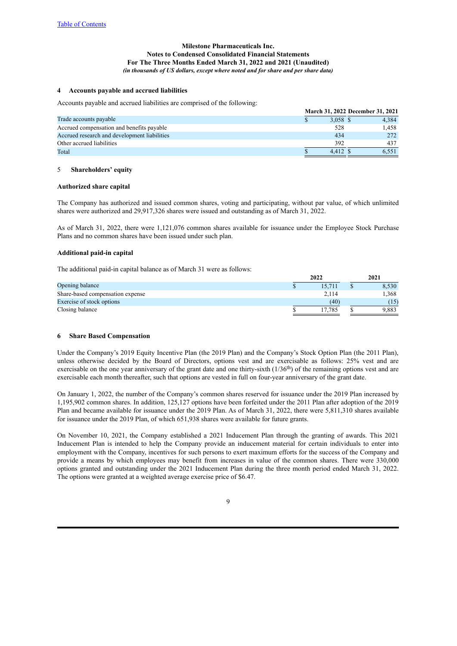#### **4 Accounts payable and accrued liabilities**

Accounts payable and accrued liabilities are comprised of the following:

|                                              |          | March 31, 2022 December 31, 2021 |
|----------------------------------------------|----------|----------------------------------|
| Trade accounts payable                       | 3.058 \$ | 4,384                            |
| Accrued compensation and benefits payable    | 528      | 1.458                            |
| Accrued research and development liabilities | 434      | 272                              |
| Other accrued liabilities                    | 392      | 437                              |
| Total                                        | 4.412 \$ | 6.551                            |

#### 5 **Shareholders' equity**

#### **Authorized share capital**

The Company has authorized and issued common shares, voting and participating, without par value, of which unlimited shares were authorized and 29,917,326 shares were issued and outstanding as of March 31, 2022.

As of March 31, 2022, there were 1,121,076 common shares available for issuance under the Employee Stock Purchase Plans and no common shares have been issued under such plan.

#### **Additional paid-in capital**

The additional paid-in capital balance as of March 31 were as follows:

|                                  | 2022   | 2021 |       |  |
|----------------------------------|--------|------|-------|--|
| Opening balance                  | 15.711 |      | 8.530 |  |
| Share-based compensation expense | 2.114  |      | 1.368 |  |
| Exercise of stock options        | (40)   |      | 15)   |  |
| Closing balance                  | 17.785 |      | 9.883 |  |

#### **6 Share Based Compensation**

Under the Company's 2019 Equity Incentive Plan (the 2019 Plan) and the Company's Stock Option Plan (the 2011 Plan), unless otherwise decided by the Board of Directors, options vest and are exercisable as follows: 25% vest and are exercisable on the one year anniversary of the grant date and one thirty-sixth  $(1/36<sup>th</sup>)$  of the remaining options vest and are exercisable each month thereafter, such that options are vested in full on four-year anniversary of the grant date.

On January 1, 2022, the number of the Company's common shares reserved for issuance under the 2019 Plan increased by 1,195,902 common shares. In addition, 125,127 options have been forfeited under the 2011 Plan after adoption of the 2019 Plan and became available for issuance under the 2019 Plan. As of March 31, 2022, there were 5,811,310 shares available for issuance under the 2019 Plan, of which 651,938 shares were available for future grants.

On November 10, 2021, the Company established a 2021 Inducement Plan through the granting of awards. This 2021 Inducement Plan is intended to help the Company provide an inducement material for certain individuals to enter into employment with the Company, incentives for such persons to exert maximum efforts for the success of the Company and provide a means by which employees may benefit from increases in value of the common shares. There were 330,000 options granted and outstanding under the 2021 Inducement Plan during the three month period ended March 31, 2022. The options were granted at a weighted average exercise price of \$6.47.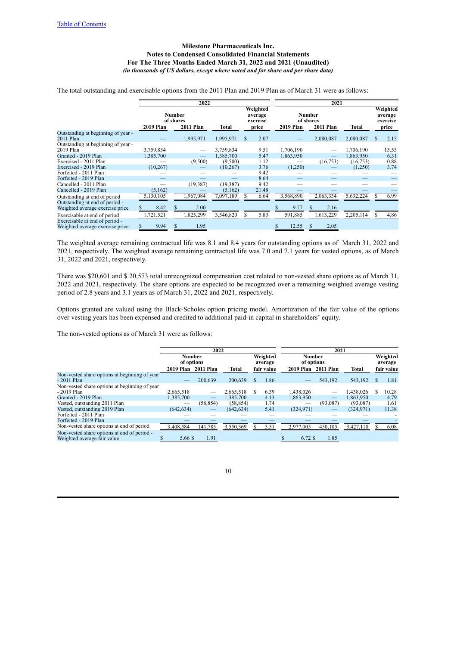The total outstanding and exercisable options from the 2011 Plan and 2019 Plan as of March 31 were as follows:

|                                                                   |                            | 2022             |           |                                 |                  | 2021                |           |  |                                 |  |  |
|-------------------------------------------------------------------|----------------------------|------------------|-----------|---------------------------------|------------------|---------------------|-----------|--|---------------------------------|--|--|
|                                                                   | <b>Number</b><br>of shares |                  |           | Weighted<br>average<br>exercise |                  | Number<br>of shares |           |  | Weighted<br>average<br>exercise |  |  |
|                                                                   | <b>2019 Plan</b>           | <b>2011 Plan</b> | Total     | price                           | <b>2019 Plan</b> | <b>2011 Plan</b>    |           |  | price                           |  |  |
| Outstanding at beginning of year -<br>2011 Plan                   |                            | 1,995,971        | 1,995,971 | 2.07<br>S                       |                  | 2,080,087           | 2,080,087 |  | 2.15                            |  |  |
| Outstanding at beginning of year -<br>2019 Plan                   | 3,759,834                  |                  | 3,759,834 | 9.51                            | 1,706,190        |                     | 1,706,190 |  | 13.55                           |  |  |
| Granted - 2019 Plan                                               | 1,385,700                  |                  | 1,385,700 | 5.47                            | 1,863,950        |                     | 1,863,950 |  | 6.31                            |  |  |
| Exercised - 2011 Plan                                             |                            | (9,500)          | (9,500)   | 1.12                            |                  | (16,753)            | (16, 753) |  | 0.88                            |  |  |
| Exercised - 2019 Plan                                             | (10, 267)                  |                  | (10, 267) | 3.76                            | (1,250)          |                     | (1,250)   |  | 3.74                            |  |  |
| Forfeited - 2011 Plan                                             |                            |                  |           | 9.42                            |                  |                     |           |  |                                 |  |  |
| Forfeited - 2019 Plan                                             |                            |                  |           | 8.64                            |                  |                     |           |  |                                 |  |  |
| Cancelled - 2011 Plan                                             |                            | (19, 387)        | (19, 387) | 9.42                            |                  |                     |           |  |                                 |  |  |
| Cancelled - 2019 Plan                                             | (5, 162)                   |                  | (5,162)   | 21.48                           |                  |                     |           |  |                                 |  |  |
| Outstanding at end of period                                      | 5,130,105                  | 1,967,084        | 7,097,189 | 6.64                            | 3,568,890        | 2,063,334           | 5,632,224 |  | 6.99                            |  |  |
| Outstanding at end of period -<br>Weighted average exercise price | 8.42                       | 2.00             |           |                                 | 9.77             | 2.16                |           |  |                                 |  |  |
| Exercisable at end of period                                      | .721,521                   | 1,825,299        | 3,546,820 | 5.83                            | 591,885          | 1,613,229           | 2,205,114 |  | 4.86                            |  |  |
| Exercisable at end of period -<br>Weighted average exercise price | 9.94                       | 1.95             |           |                                 | 12.55            | 2.05                |           |  |                                 |  |  |

The weighted average remaining contractual life was 8.1 and 8.4 years for outstanding options as of March 31, 2022 and 2021, respectively. The weighted average remaining contractual life was 7.0 and 7.1 years for vested options, as of March 31, 2022 and 2021, respectively.

There was \$20,601 and \$ 20,573 total unrecognized compensation cost related to non-vested share options as of March 31, 2022 and 2021, respectively. The share options are expected to be recognized over a remaining weighted average vesting period of 2.8 years and 3.1 years as of March 31, 2022 and 2021, respectively.

Options granted are valued using the Black-Scholes option pricing model. Amortization of the fair value of the options over vesting years has been expensed and credited to additional paid-in capital in shareholders' equity.

The non-vested options as of March 31 were as follows:

|                                                                            | 2022                        |           |            |            |                     | 2021             |                             |            |  |                     |  |  |
|----------------------------------------------------------------------------|-----------------------------|-----------|------------|------------|---------------------|------------------|-----------------------------|------------|--|---------------------|--|--|
|                                                                            | <b>Number</b><br>of options |           |            |            | Weighted<br>average |                  | <b>Number</b><br>of options |            |  | Weighted<br>average |  |  |
|                                                                            | 2019 Plan 2011 Plan         |           | Total      | fair value |                     | <b>2019 Plan</b> | <b>2011 Plan</b>            | Total      |  | fair value          |  |  |
| Non-vested share options at beginning of year                              |                             |           |            |            |                     |                  |                             |            |  |                     |  |  |
| - 2011 Plan                                                                | $\overline{\phantom{0}}$    | 200.639   | 200,639    |            | 1.86                |                  | 543.192                     | 543.192    |  | 1.81                |  |  |
| Non-vested share options at beginning of year                              |                             |           |            |            |                     |                  |                             |            |  |                     |  |  |
| - 2019 Plan                                                                | 2,665,518                   |           | 2,665,518  | S          | 6.39                | 1,438,026        |                             | 1,438,026  |  | 10.28               |  |  |
| Granted - 2019 Plan                                                        | 1.385.700                   |           | 1.385.700  |            | 4.13                | 1,863,950        |                             | 1,863,950  |  | 4.79                |  |  |
| Vested, outstanding 2011 Plan                                              |                             | (58, 854) | (58, 854)  |            | 1.74                |                  | (93,087)                    | (93,087)   |  | 1.61                |  |  |
| Vested, outstanding 2019 Plan                                              | (642, 634)                  |           | (642, 634) |            | 5.41                | (324, 971)       |                             | (324, 971) |  | 11.38               |  |  |
| Forfeited - 2011 Plan                                                      |                             |           |            |            |                     |                  |                             |            |  |                     |  |  |
| Forfeited - 2019 Plan                                                      |                             |           |            |            |                     |                  |                             |            |  |                     |  |  |
| Non-vested share options at end of period                                  | 3,408,584                   | 141.785   | 3,550,369  |            | 5.51                | 2,977,005        | 450.105                     | 3,427,110  |  | 6.08                |  |  |
| Non-vested share options at end of period -<br>Weighted average fair value | 5.66 \$                     | 1.91      |            |            |                     | 6.72 \$          | 1.85                        |            |  |                     |  |  |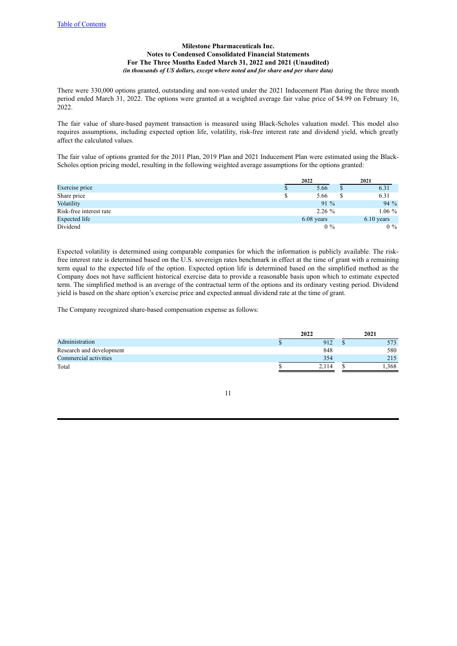There were 330,000 options granted, outstanding and non-vested under the 2021 Inducement Plan during the three month period ended March 31, 2022. The options were granted at a weighted average fair value price of \$4.99 on February 16, 2022.

The fair value of share-based payment transaction is measured using Black-Scholes valuation model. This model also requires assumptions, including expected option life, volatility, risk-free interest rate and dividend yield, which greatly affect the calculated values.

The fair value of options granted for the 2011 Plan, 2019 Plan and 2021 Inducement Plan were estimated using the Black-Scholes option pricing model, resulting in the following weighted average assumptions for the options granted:

|                         | 2022         |        | 2021         |  |
|-------------------------|--------------|--------|--------------|--|
| Exercise price          | 5.66         |        | 6.31         |  |
| Share price             | 5.66         | S      | 6.31         |  |
| Volatility              | $91\%$       |        | $94\%$       |  |
| Risk-free interest rate | $2.26\%$     | 1.06 % |              |  |
| Expected life           | $6.08$ years |        | $6.10$ years |  |
| Dividend                | $0\%$        |        | $0\%$        |  |

Expected volatility is determined using comparable companies for which the information is publicly available. The riskfree interest rate is determined based on the U.S. sovereign rates benchmark in effect at the time of grant with a remaining term equal to the expected life of the option. Expected option life is determined based on the simplified method as the Company does not have sufficient historical exercise data to provide a reasonable basis upon which to estimate expected term. The simplified method is an average of the contractual term of the options and its ordinary vesting period. Dividend yield is based on the share option's exercise price and expected annual dividend rate at the time of grant.

The Company recognized share-based compensation expense as follows:

|                          | 2022 |       | 2021 |      |  |
|--------------------------|------|-------|------|------|--|
| Administration           |      | 912   |      |      |  |
| Research and development |      | 848   |      | 580  |  |
| Commercial activities    |      | 354   |      |      |  |
| Total                    |      | 2.114 |      | .368 |  |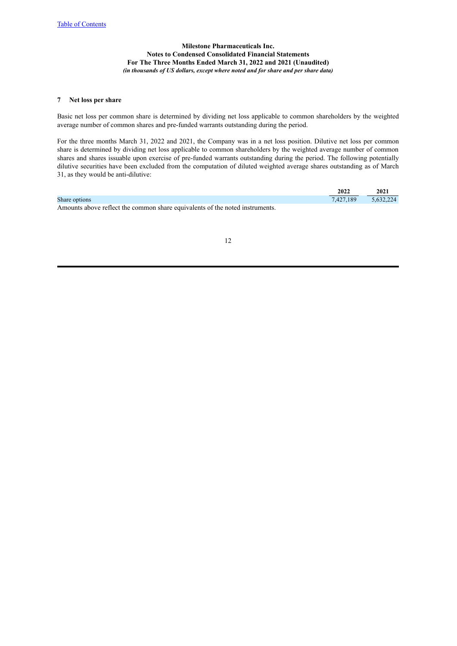## **7 Net loss per share**

Basic net loss per common share is determined by dividing net loss applicable to common shareholders by the weighted average number of common shares and pre-funded warrants outstanding during the period.

For the three months March 31, 2022 and 2021, the Company was in a net loss position. Dilutive net loss per common share is determined by dividing net loss applicable to common shareholders by the weighted average number of common shares and shares issuable upon exercise of pre-funded warrants outstanding during the period. The following potentially dilutive securities have been excluded from the computation of diluted weighted average shares outstanding as of March 31, as they would be anti-dilutive:

|                                                                              | 2022      | 2021      |
|------------------------------------------------------------------------------|-----------|-----------|
| Share options                                                                | 7.427.189 | 5.632.224 |
| Amounts above reflect the common share equivalents of the noted instruments. |           |           |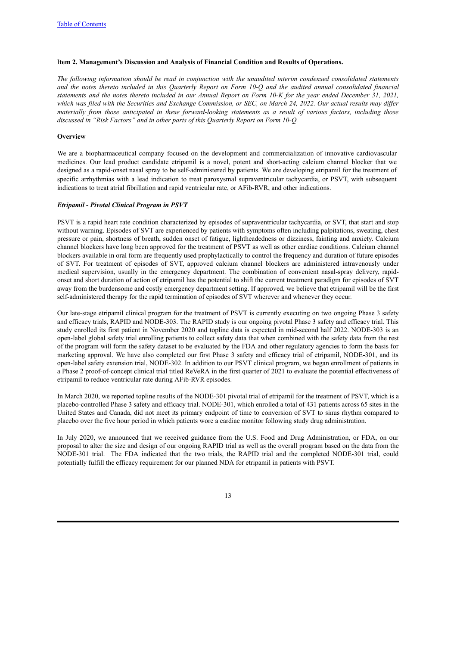### <span id="page-14-0"></span>I**tem 2. Management's Discussion and Analysis of Financial Condition and Results of Operations.**

*The following information should be read in conjunction with the unaudited interim condensed consolidated statements* and the notes thereto included in this Quarterly Report on Form 10-Q and the audited annual consolidated financial statements and the notes thereto included in our Annual Report on Form 10-K for the year ended December 31, 2021, which was filed with the Securities and Exchange Commission, or SEC, on March 24, 2022. Our actual results may differ materially from those anticipated in these forward-looking statements as a result of various factors, including those *discussed in "Risk Factors" and in other parts of this Quarterly Report on Form 10-Q.*

#### **Overview**

We are a biopharmaceutical company focused on the development and commercialization of innovative cardiovascular medicines. Our lead product candidate etripamil is a novel, potent and short-acting calcium channel blocker that we designed as a rapid-onset nasal spray to be self-administered by patients. We are developing etripamil for the treatment of specific arrhythmias with a lead indication to treat paroxysmal supraventricular tachycardia, or PSVT, with subsequent indications to treat atrial fibrillation and rapid ventricular rate, or AFib-RVR, and other indications.

#### *Etripamil - Pivotal Clinical Program in PSVT*

PSVT is a rapid heart rate condition characterized by episodes of supraventricular tachycardia, or SVT, that start and stop without warning. Episodes of SVT are experienced by patients with symptoms often including palpitations, sweating, chest pressure or pain, shortness of breath, sudden onset of fatigue, lightheadedness or dizziness, fainting and anxiety. Calcium channel blockers have long been approved for the treatment of PSVT as well as other cardiac conditions. Calcium channel blockers available in oral form are frequently used prophylactically to control the frequency and duration of future episodes of SVT. For treatment of episodes of SVT, approved calcium channel blockers are administered intravenously under medical supervision, usually in the emergency department. The combination of convenient nasal-spray delivery, rapidonset and short duration of action of etripamil has the potential to shift the current treatment paradigm for episodes of SVT away from the burdensome and costly emergency department setting. If approved, we believe that etripamil will be the first self-administered therapy for the rapid termination of episodes of SVT wherever and whenever they occur.

Our late-stage etripamil clinical program for the treatment of PSVT is currently executing on two ongoing Phase 3 safety and efficacy trials, RAPID and NODE-303. The RAPID study is our ongoing pivotal Phase 3 safety and efficacy trial. This study enrolled its first patient in November 2020 and topline data is expected in mid-second half 2022. NODE-303 is an open-label global safety trial enrolling patients to collect safety data that when combined with the safety data from the rest of the program will form the safety dataset to be evaluated by the FDA and other regulatory agencies to form the basis for marketing approval. We have also completed our first Phase 3 safety and efficacy trial of etripamil, NODE-301, and its open-label safety extension trial, NODE-302. In addition to our PSVT clinical program, we began enrollment of patients in a Phase 2 proof-of-concept clinical trial titled ReVeRA in the first quarter of 2021 to evaluate the potential effectiveness of etripamil to reduce ventricular rate during AFib-RVR episodes.

In March 2020, we reported topline results of the NODE-301 pivotal trial of etripamil for the treatment of PSVT, which is a placebo-controlled Phase 3 safety and efficacy trial. NODE-301, which enrolled a total of 431 patients across 65 sites in the United States and Canada, did not meet its primary endpoint of time to conversion of SVT to sinus rhythm compared to placebo over the five hour period in which patients wore a cardiac monitor following study drug administration.

In July 2020, we announced that we received guidance from the U.S. Food and Drug Administration, or FDA, on our proposal to alter the size and design of our ongoing RAPID trial as well as the overall program based on the data from the NODE-301 trial. The FDA indicated that the two trials, the RAPID trial and the completed NODE-301 trial, could potentially fulfill the efficacy requirement for our planned NDA for etripamil in patients with PSVT.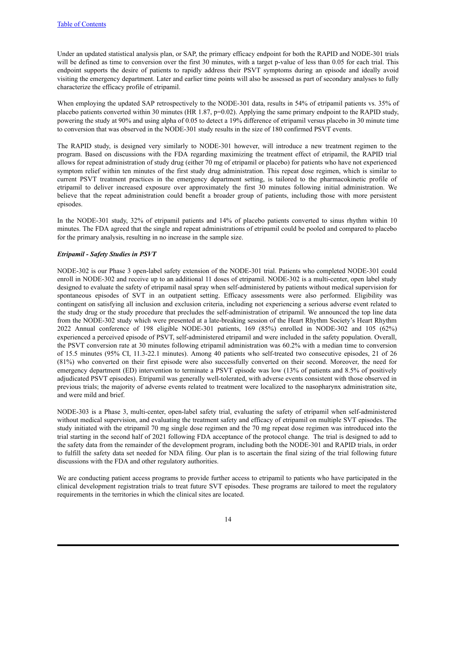Under an updated statistical analysis plan, or SAP, the primary efficacy endpoint for both the RAPID and NODE-301 trials will be defined as time to conversion over the first 30 minutes, with a target p-value of less than 0.05 for each trial. This endpoint supports the desire of patients to rapidly address their PSVT symptoms during an episode and ideally avoid visiting the emergency department. Later and earlier time points will also be assessed as part of secondary analyses to fully characterize the efficacy profile of etripamil.

When employing the updated SAP retrospectively to the NODE-301 data, results in 54% of etripamil patients vs. 35% of placebo patients converted within 30 minutes (HR 1.87, p=0.02). Applying the same primary endpoint to the RAPID study, powering the study at 90% and using alpha of 0.05 to detect a 19% difference of etripamil versus placebo in 30 minute time to conversion that was observed in the NODE-301 study results in the size of 180 confirmed PSVT events.

The RAPID study, is designed very similarly to NODE-301 however, will introduce a new treatment regimen to the program. Based on discussions with the FDA regarding maximizing the treatment effect of etripamil, the RAPID trial allows for repeat administration of study drug (either 70 mg of etripamil or placebo) for patients who have not experienced symptom relief within ten minutes of the first study drug administration. This repeat dose regimen, which is similar to current PSVT treatment practices in the emergency department setting, is tailored to the pharmacokinetic profile of etripamil to deliver increased exposure over approximately the first 30 minutes following initial administration. We believe that the repeat administration could benefit a broader group of patients, including those with more persistent episodes.

In the NODE-301 study, 32% of etripamil patients and 14% of placebo patients converted to sinus rhythm within 10 minutes. The FDA agreed that the single and repeat administrations of etripamil could be pooled and compared to placebo for the primary analysis, resulting in no increase in the sample size.

#### *Etripamil - Safety Studies in PSVT*

NODE-302 is our Phase 3 open-label safety extension of the NODE-301 trial. Patients who completed NODE-301 could enroll in NODE-302 and receive up to an additional 11 doses of etripamil. NODE-302 is a multi-center, open label study designed to evaluate the safety of etripamil nasal spray when self-administered by patients without medical supervision for spontaneous episodes of SVT in an outpatient setting. Efficacy assessments were also performed. Eligibility was contingent on satisfying all inclusion and exclusion criteria, including not experiencing a serious adverse event related to the study drug or the study procedure that precludes the self-administration of etripamil. We announced the top line data from the NODE-302 study which were presented at a late-breaking session of the Heart Rhythm Society's Heart Rhythm 2022 Annual conference of 198 eligible NODE-301 patients, 169 (85%) enrolled in NODE-302 and 105 (62%) experienced a perceived episode of PSVT, self-administered etripamil and were included in the safety population. Overall, the PSVT conversion rate at 30 minutes following etripamil administration was 60.2% with a median time to conversion of 15.5 minutes (95% CI, 11.3-22.1 minutes). Among 40 patients who self-treated two consecutive episodes, 21 of 26 (81%) who converted on their first episode were also successfully converted on their second. Moreover, the need for emergency department (ED) intervention to terminate a PSVT episode was low (13% of patients and 8.5% of positively adjudicated PSVT episodes). Etripamil was generally well-tolerated, with adverse events consistent with those observed in previous trials; the majority of adverse events related to treatment were localized to the nasopharynx administration site, and were mild and brief.

NODE-303 is a Phase 3, multi-center, open-label safety trial, evaluating the safety of etripamil when self-administered without medical supervision, and evaluating the treatment safety and efficacy of etripamil on multiple SVT episodes. The study initiated with the etripamil 70 mg single dose regimen and the 70 mg repeat dose regimen was introduced into the trial starting in the second half of 2021 following FDA acceptance of the protocol change. The trial is designed to add to the safety data from the remainder of the development program, including both the NODE-301 and RAPID trials, in order to fulfill the safety data set needed for NDA filing. Our plan is to ascertain the final sizing of the trial following future discussions with the FDA and other regulatory authorities.

We are conducting patient access programs to provide further access to etripamil to patients who have participated in the clinical development registration trials to treat future SVT episodes. These programs are tailored to meet the regulatory requirements in the territories in which the clinical sites are located.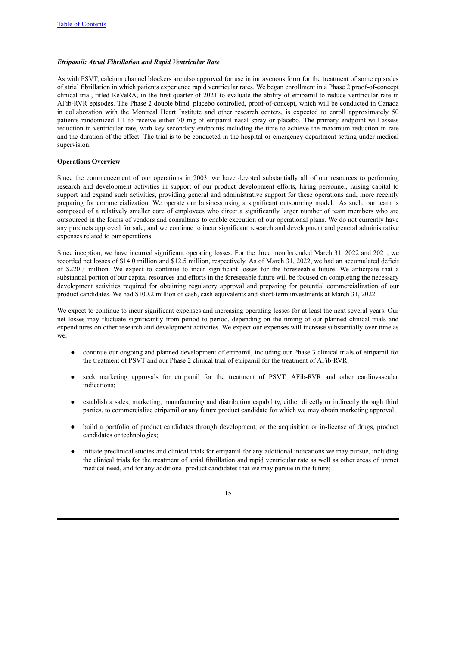# *Etripamil: Atrial Fibrillation and Rapid Ventricular Rate*

As with PSVT, calcium channel blockers are also approved for use in intravenous form for the treatment of some episodes of atrial fibrillation in which patients experience rapid ventricular rates. We began enrollment in a Phase 2 proof-of-concept clinical trial, titled ReVeRA, in the first quarter of 2021 to evaluate the ability of etripamil to reduce ventricular rate in AFib-RVR episodes. The Phase 2 double blind, placebo controlled, proof-of-concept, which will be conducted in Canada in collaboration with the Montreal Heart Institute and other research centers, is expected to enroll approximately 50 patients randomized 1:1 to receive either 70 mg of etripamil nasal spray or placebo. The primary endpoint will assess reduction in ventricular rate, with key secondary endpoints including the time to achieve the maximum reduction in rate and the duration of the effect. The trial is to be conducted in the hospital or emergency department setting under medical supervision.

#### **Operations Overview**

Since the commencement of our operations in 2003, we have devoted substantially all of our resources to performing research and development activities in support of our product development efforts, hiring personnel, raising capital to support and expand such activities, providing general and administrative support for these operations and, more recently preparing for commercialization. We operate our business using a significant outsourcing model. As such, our team is composed of a relatively smaller core of employees who direct a significantly larger number of team members who are outsourced in the forms of vendors and consultants to enable execution of our operational plans. We do not currently have any products approved for sale, and we continue to incur significant research and development and general administrative expenses related to our operations.

Since inception, we have incurred significant operating losses. For the three months ended March 31, 2022 and 2021, we recorded net losses of \$14.0 million and \$12.5 million, respectively. As of March 31, 2022, we had an accumulated deficit of \$220.3 million. We expect to continue to incur significant losses for the foreseeable future. We anticipate that a substantial portion of our capital resources and efforts in the foreseeable future will be focused on completing the necessary development activities required for obtaining regulatory approval and preparing for potential commercialization of our product candidates. We had \$100.2 million of cash, cash equivalents and short-term investments at March 31, 2022.

We expect to continue to incur significant expenses and increasing operating losses for at least the next several years. Our net losses may fluctuate significantly from period to period, depending on the timing of our planned clinical trials and expenditures on other research and development activities. We expect our expenses will increase substantially over time as we:

- continue our ongoing and planned development of etripamil, including our Phase 3 clinical trials of etripamil for the treatment of PSVT and our Phase 2 clinical trial of etripamil for the treatment of AFib-RVR;
- seek marketing approvals for etripamil for the treatment of PSVT. AFIb-RVR and other cardiovascular indications;
- establish a sales, marketing, manufacturing and distribution capability, either directly or indirectly through third parties, to commercialize etripamil or any future product candidate for which we may obtain marketing approval;
- build a portfolio of product candidates through development, or the acquisition or in-license of drugs, product candidates or technologies;
- initiate preclinical studies and clinical trials for etripamil for any additional indications we may pursue, including the clinical trials for the treatment of atrial fibrillation and rapid ventricular rate as well as other areas of unmet medical need, and for any additional product candidates that we may pursue in the future;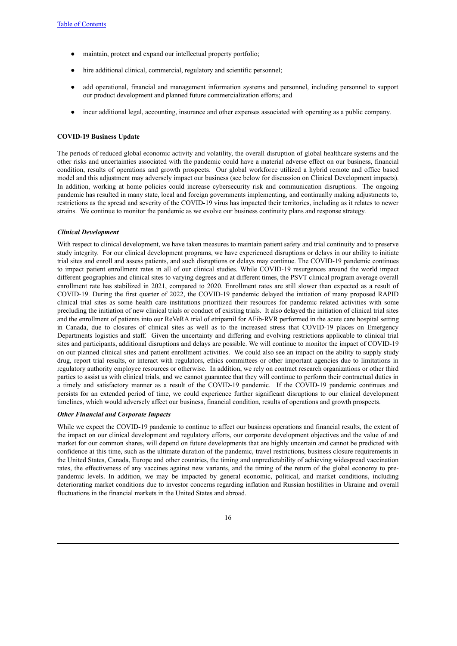- maintain, protect and expand our intellectual property portfolio;
- hire additional clinical, commercial, regulatory and scientific personnel;
- add operational, financial and management information systems and personnel, including personnel to support our product development and planned future commercialization efforts; and
- incur additional legal, accounting, insurance and other expenses associated with operating as a public company.

#### **COVID-19 Business Update**

The periods of reduced global economic activity and volatility, the overall disruption of global healthcare systems and the other risks and uncertainties associated with the pandemic could have a material adverse effect on our business, financial condition, results of operations and growth prospects. Our global workforce utilized a hybrid remote and office based model and this adjustment may adversely impact our business (see below for discussion on Clinical Development impacts). In addition, working at home policies could increase cybersecurity risk and communication disruptions. The ongoing pandemic has resulted in many state, local and foreign governments implementing, and continually making adjustments to, restrictions as the spread and severity of the COVID-19 virus has impacted their territories, including as it relates to newer strains. We continue to monitor the pandemic as we evolve our business continuity plans and response strategy.

#### *Clinical Development*

With respect to clinical development, we have taken measures to maintain patient safety and trial continuity and to preserve study integrity. For our clinical development programs, we have experienced disruptions or delays in our ability to initiate trial sites and enroll and assess patients, and such disruptions or delays may continue. The COVID-19 pandemic continues to impact patient enrollment rates in all of our clinical studies. While COVID-19 resurgences around the world impact different geographies and clinical sites to varying degrees and at different times, the PSVT clinical program average overall enrollment rate has stabilized in 2021, compared to 2020. Enrollment rates are still slower than expected as a result of COVID-19. During the first quarter of 2022, the COVID-19 pandemic delayed the initiation of many proposed RAPID clinical trial sites as some health care institutions prioritized their resources for pandemic related activities with some precluding the initiation of new clinical trials or conduct of existing trials. It also delayed the initiation of clinical trial sites and the enrollment of patients into our ReVeRA trial of etripamil for AFib-RVR performed in the acute care hospital setting in Canada, due to closures of clinical sites as well as to the increased stress that COVID-19 places on Emergency Departments logistics and staff. Given the uncertainty and differing and evolving restrictions applicable to clinical trial sites and participants, additional disruptions and delays are possible. We will continue to monitor the impact of COVID-19 on our planned clinical sites and patient enrollment activities. We could also see an impact on the ability to supply study drug, report trial results, or interact with regulators, ethics committees or other important agencies due to limitations in regulatory authority employee resources or otherwise. In addition, we rely on contract research organizations or other third parties to assist us with clinical trials, and we cannot guarantee that they will continue to perform their contractual duties in a timely and satisfactory manner as a result of the COVID-19 pandemic. If the COVID-19 pandemic continues and persists for an extended period of time, we could experience further significant disruptions to our clinical development timelines, which would adversely affect our business, financial condition, results of operations and growth prospects.

# *Other Financial and Corporate Impacts*

While we expect the COVID-19 pandemic to continue to affect our business operations and financial results, the extent of the impact on our clinical development and regulatory efforts, our corporate development objectives and the value of and market for our common shares, will depend on future developments that are highly uncertain and cannot be predicted with confidence at this time, such as the ultimate duration of the pandemic, travel restrictions, business closure requirements in the United States, Canada, Europe and other countries, the timing and unpredictability of achieving widespread vaccination rates, the effectiveness of any vaccines against new variants, and the timing of the return of the global economy to prepandemic levels. In addition, we may be impacted by general economic, political, and market conditions, including deteriorating market conditions due to investor concerns regarding inflation and Russian hostilities in Ukraine and overall fluctuations in the financial markets in the United States and abroad.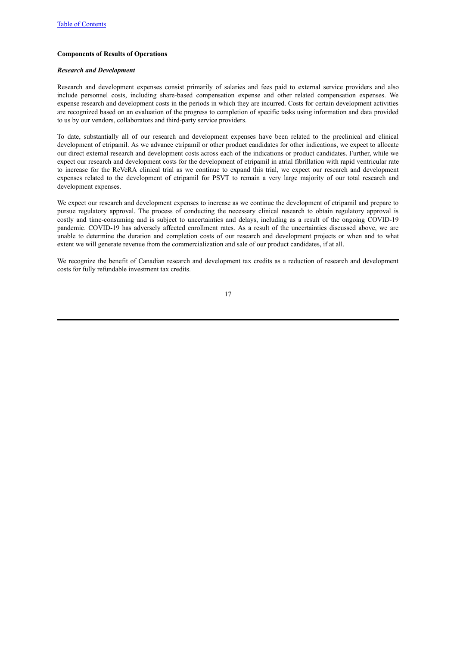#### **Components of Results of Operations**

#### *Research and Development*

Research and development expenses consist primarily of salaries and fees paid to external service providers and also include personnel costs, including share-based compensation expense and other related compensation expenses. We expense research and development costs in the periods in which they are incurred. Costs for certain development activities are recognized based on an evaluation of the progress to completion of specific tasks using information and data provided to us by our vendors, collaborators and third-party service providers.

To date, substantially all of our research and development expenses have been related to the preclinical and clinical development of etripamil. As we advance etripamil or other product candidates for other indications, we expect to allocate our direct external research and development costs across each of the indications or product candidates. Further, while we expect our research and development costs for the development of etripamil in atrial fibrillation with rapid ventricular rate to increase for the ReVeRA clinical trial as we continue to expand this trial, we expect our research and development expenses related to the development of etripamil for PSVT to remain a very large majority of our total research and development expenses.

We expect our research and development expenses to increase as we continue the development of etripamil and prepare to pursue regulatory approval. The process of conducting the necessary clinical research to obtain regulatory approval is costly and time-consuming and is subject to uncertainties and delays, including as a result of the ongoing COVID-19 pandemic. COVID-19 has adversely affected enrollment rates. As a result of the uncertainties discussed above, we are unable to determine the duration and completion costs of our research and development projects or when and to what extent we will generate revenue from the commercialization and sale of our product candidates, if at all.

We recognize the benefit of Canadian research and development tax credits as a reduction of research and development costs for fully refundable investment tax credits.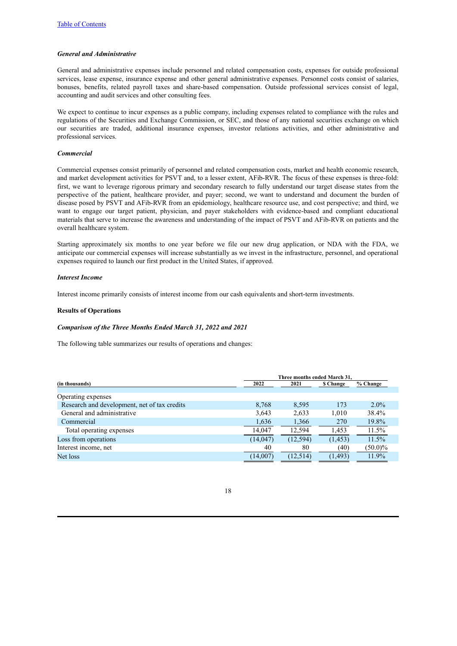#### *General and Administrative*

General and administrative expenses include personnel and related compensation costs, expenses for outside professional services, lease expense, insurance expense and other general administrative expenses. Personnel costs consist of salaries, bonuses, benefits, related payroll taxes and share-based compensation. Outside professional services consist of legal, accounting and audit services and other consulting fees.

We expect to continue to incur expenses as a public company, including expenses related to compliance with the rules and regulations of the Securities and Exchange Commission, or SEC, and those of any national securities exchange on which our securities are traded, additional insurance expenses, investor relations activities, and other administrative and professional services.

#### *Commercial*

Commercial expenses consist primarily of personnel and related compensation costs, market and health economic research, and market development activities for PSVT and, to a lesser extent, AFib-RVR. The focus of these expenses is three-fold: first, we want to leverage rigorous primary and secondary research to fully understand our target disease states from the perspective of the patient, healthcare provider, and payer; second, we want to understand and document the burden of disease posed by PSVT and AFib-RVR from an epidemiology, healthcare resource use, and cost perspective; and third, we want to engage our target patient, physician, and payer stakeholders with evidence-based and compliant educational materials that serve to increase the awareness and understanding of the impact of PSVT and AFib-RVR on patients and the overall healthcare system.

Starting approximately six months to one year before we file our new drug application, or NDA with the FDA, we anticipate our commercial expenses will increase substantially as we invest in the infrastructure, personnel, and operational expenses required to launch our first product in the United States, if approved.

#### *Interest Income*

Interest income primarily consists of interest income from our cash equivalents and short-term investments.

#### **Results of Operations**

## *Comparison of the Three Months Ended March 31, 2022 and 2021*

The following table summarizes our results of operations and changes:

|                                              | Three months ended March 31, |           |           |            |  |  |
|----------------------------------------------|------------------------------|-----------|-----------|------------|--|--|
| (in thousands)                               | 2022                         | 2021      | \$ Change | % Change   |  |  |
|                                              |                              |           |           |            |  |  |
| Operating expenses                           |                              |           |           |            |  |  |
| Research and development, net of tax credits | 8,768                        | 8,595     | 173       | $2.0\%$    |  |  |
| General and administrative                   | 3,643                        | 2,633     | 1,010     | 38.4%      |  |  |
| Commercial                                   | 1,636                        | 1,366     | 270       | 19.8%      |  |  |
| Total operating expenses                     | 14,047                       | 12,594    | 1,453     | 11.5%      |  |  |
| Loss from operations                         | (14, 047)                    | (12, 594) | (1, 453)  | 11.5%      |  |  |
| Interest income, net                         | 40                           | 80        | (40)      | $(50.0)\%$ |  |  |
| Net loss                                     | (14,007)                     | (12, 514) | (1, 493)  | 11.9%      |  |  |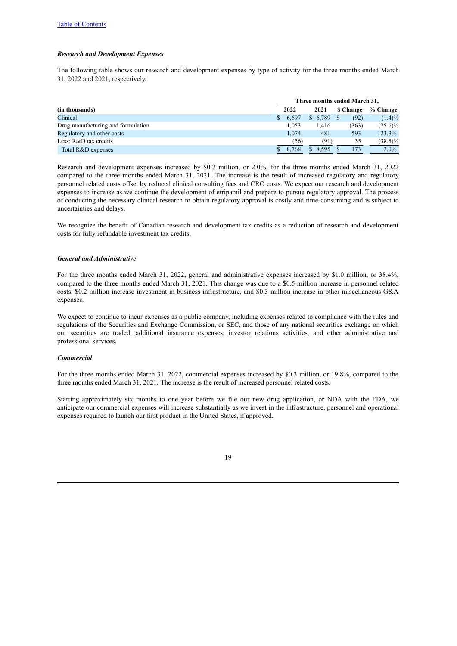#### *Research and Development Expenses*

The following table shows our research and development expenses by type of activity for the three months ended March 31, 2022 and 2021, respectively.

|                                    | Three months ended March 31, |       |  |         |                 |            |
|------------------------------------|------------------------------|-------|--|---------|-----------------|------------|
| (in thousands)                     |                              | 2022  |  | 2021    | <b>S</b> Change | % Change   |
| Clinical                           |                              | 6.697 |  | \$6.789 | (92)            | $(1.4)\%$  |
| Drug manufacturing and formulation |                              | 1.053 |  | 1.416   | (363)           | $(25.6)\%$ |
| Regulatory and other costs         |                              | 1.074 |  | 481     | 593             | 123.3%     |
| Less: R&D tax credits              |                              | (56)  |  | (91)    | 35              | $(38.5)\%$ |
| Total R&D expenses                 |                              | 8.768 |  | \$8.595 | 173             | $2.0\%$    |

Research and development expenses increased by \$0.2 million, or 2.0%, for the three months ended March 31, 2022 compared to the three months ended March 31, 2021. The increase is the result of increased regulatory and regulatory personnel related costs offset by reduced clinical consulting fees and CRO costs. We expect our research and development expenses to increase as we continue the development of etripamil and prepare to pursue regulatory approval. The process of conducting the necessary clinical research to obtain regulatory approval is costly and time-consuming and is subject to uncertainties and delays.

We recognize the benefit of Canadian research and development tax credits as a reduction of research and development costs for fully refundable investment tax credits.

#### *General and Administrative*

For the three months ended March 31, 2022, general and administrative expenses increased by \$1.0 million, or 38.4%, compared to the three months ended March 31, 2021. This change was due to a \$0.5 million increase in personnel related costs, \$0.2 million increase investment in business infrastructure, and \$0.3 million increase in other miscellaneous G&A expenses.

We expect to continue to incur expenses as a public company, including expenses related to compliance with the rules and regulations of the Securities and Exchange Commission, or SEC, and those of any national securities exchange on which our securities are traded, additional insurance expenses, investor relations activities, and other administrative and professional services.

#### *Commercial*

For the three months ended March 31, 2022, commercial expenses increased by \$0.3 million, or 19.8%, compared to the three months ended March 31, 2021. The increase is the result of increased personnel related costs.

Starting approximately six months to one year before we file our new drug application, or NDA with the FDA, we anticipate our commercial expenses will increase substantially as we invest in the infrastructure, personnel and operational expenses required to launch our first product in the United States, if approved.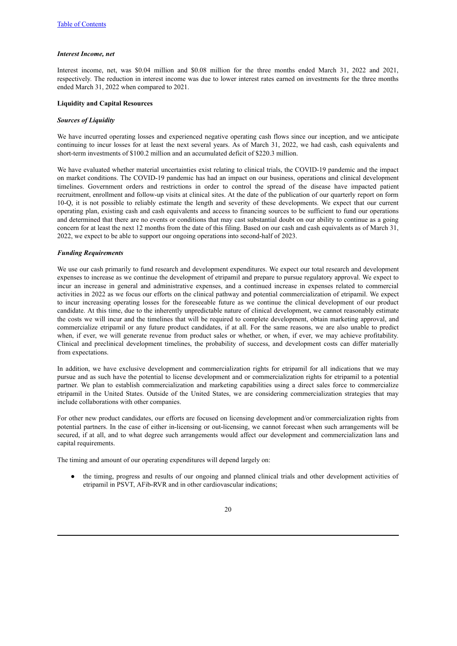#### *Interest Income, net*

Interest income, net, was \$0.04 million and \$0.08 million for the three months ended March 31, 2022 and 2021, respectively. The reduction in interest income was due to lower interest rates earned on investments for the three months ended March 31, 2022 when compared to 2021.

#### **Liquidity and Capital Resources**

#### *Sources of Liquidity*

We have incurred operating losses and experienced negative operating cash flows since our inception, and we anticipate continuing to incur losses for at least the next several years. As of March 31, 2022, we had cash, cash equivalents and short-term investments of \$100.2 million and an accumulated deficit of \$220.3 million.

We have evaluated whether material uncertainties exist relating to clinical trials, the COVID-19 pandemic and the impact on market conditions. The COVID-19 pandemic has had an impact on our business, operations and clinical development timelines. Government orders and restrictions in order to control the spread of the disease have impacted patient recruitment, enrollment and follow-up visits at clinical sites. At the date of the publication of our quarterly report on form 10-Q, it is not possible to reliably estimate the length and severity of these developments. We expect that our current operating plan, existing cash and cash equivalents and access to financing sources to be sufficient to fund our operations and determined that there are no events or conditions that may cast substantial doubt on our ability to continue as a going concern for at least the next 12 months from the date of this filing. Based on our cash and cash equivalents as of March 31, 2022, we expect to be able to support our ongoing operations into second-half of 2023.

#### *Funding Requirements*

We use our cash primarily to fund research and development expenditures. We expect our total research and development expenses to increase as we continue the development of etripamil and prepare to pursue regulatory approval. We expect to incur an increase in general and administrative expenses, and a continued increase in expenses related to commercial activities in 2022 as we focus our efforts on the clinical pathway and potential commercialization of etripamil. We expect to incur increasing operating losses for the foreseeable future as we continue the clinical development of our product candidate. At this time, due to the inherently unpredictable nature of clinical development, we cannot reasonably estimate the costs we will incur and the timelines that will be required to complete development, obtain marketing approval, and commercialize etripamil or any future product candidates, if at all. For the same reasons, we are also unable to predict when, if ever, we will generate revenue from product sales or whether, or when, if ever, we may achieve profitability. Clinical and preclinical development timelines, the probability of success, and development costs can differ materially from expectations.

In addition, we have exclusive development and commercialization rights for etripamil for all indications that we may pursue and as such have the potential to license development and or commercialization rights for etripamil to a potential partner. We plan to establish commercialization and marketing capabilities using a direct sales force to commercialize etripamil in the United States. Outside of the United States, we are considering commercialization strategies that may include collaborations with other companies.

For other new product candidates, our efforts are focused on licensing development and/or commercialization rights from potential partners. In the case of either in-licensing or out-licensing, we cannot forecast when such arrangements will be secured, if at all, and to what degree such arrangements would affect our development and commercialization lans and capital requirements.

The timing and amount of our operating expenditures will depend largely on:

the timing, progress and results of our ongoing and planned clinical trials and other development activities of etripamil in PSVT, AFib-RVR and in other cardiovascular indications;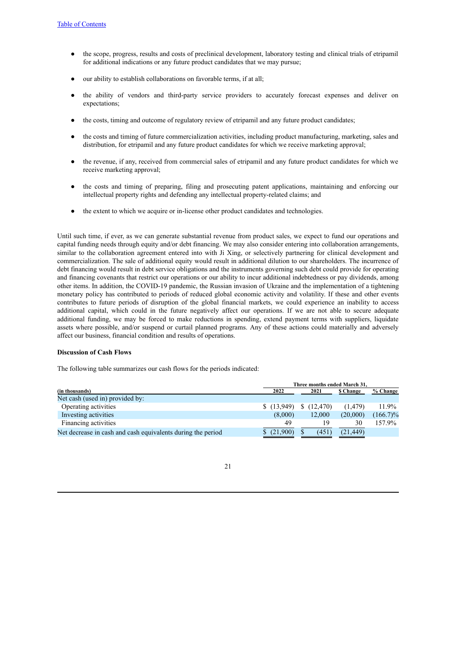- the scope, progress, results and costs of preclinical development, laboratory testing and clinical trials of etripamil for additional indications or any future product candidates that we may pursue;
- our ability to establish collaborations on favorable terms, if at all;
- the ability of vendors and third-party service providers to accurately forecast expenses and deliver on expectations;
- the costs, timing and outcome of regulatory review of etripamil and any future product candidates;
- the costs and timing of future commercialization activities, including product manufacturing, marketing, sales and distribution, for etripamil and any future product candidates for which we receive marketing approval;
- the revenue, if any, received from commercial sales of etripamil and any future product candidates for which we receive marketing approval;
- the costs and timing of preparing, filing and prosecuting patent applications, maintaining and enforcing our intellectual property rights and defending any intellectual property-related claims; and
- the extent to which we acquire or in-license other product candidates and technologies.

Until such time, if ever, as we can generate substantial revenue from product sales, we expect to fund our operations and capital funding needs through equity and/or debt financing. We may also consider entering into collaboration arrangements, similar to the collaboration agreement entered into with Ji Xing, or selectively partnering for clinical development and commercialization. The sale of additional equity would result in additional dilution to our shareholders. The incurrence of debt financing would result in debt service obligations and the instruments governing such debt could provide for operating and financing covenants that restrict our operations or our ability to incur additional indebtedness or pay dividends, among other items. In addition, the COVID-19 pandemic, the Russian invasion of Ukraine and the implementation of a tightening monetary policy has contributed to periods of reduced global economic activity and volatility. If these and other events contributes to future periods of disruption of the global financial markets, we could experience an inability to access additional capital, which could in the future negatively affect our operations. If we are not able to secure adequate additional funding, we may be forced to make reductions in spending, extend payment terms with suppliers, liquidate assets where possible, and/or suspend or curtail planned programs. Any of these actions could materially and adversely affect our business, financial condition and results of operations.

#### **Discussion of Cash Flows**

The following table summarizes our cash flows for the periods indicated:

|                                                             | Three months ended March 31. |           |           |             |
|-------------------------------------------------------------|------------------------------|-----------|-----------|-------------|
| (in thousands)                                              | 2022                         | 2021      | \$ Change | % Change    |
| Net cash (used in) provided by:                             |                              |           |           |             |
| Operating activities                                        | (13,949)                     | (12, 470) | (1, 479)  | 11.9%       |
| Investing activities                                        | (8,000)                      | 12,000    | (20.000)  | $(166.7)\%$ |
| Financing activities                                        | 49                           | 19        | 30        | 157.9%      |
| Net decrease in cash and cash equivalents during the period | (21,900)                     | (451)     | (21, 449) |             |

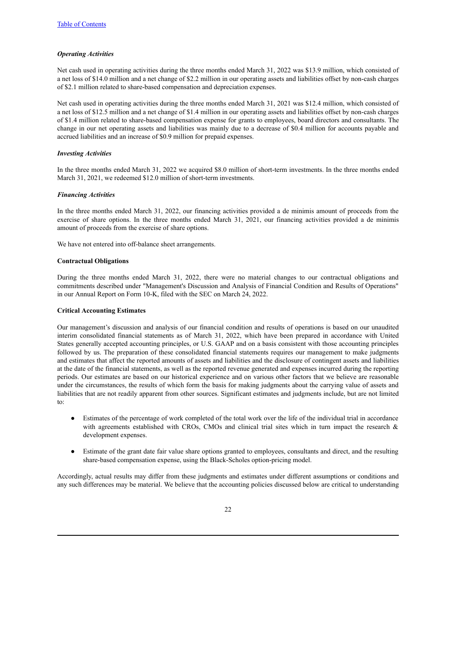#### *Operating Activities*

Net cash used in operating activities during the three months ended March 31, 2022 was \$13.9 million, which consisted of a net loss of \$14.0 million and a net change of \$2.2 million in our operating assets and liabilities offset by non-cash charges of \$2.1 million related to share-based compensation and depreciation expenses.

Net cash used in operating activities during the three months ended March 31, 2021 was \$12.4 million, which consisted of a net loss of \$12.5 million and a net change of \$1.4 million in our operating assets and liabilities offset by non-cash charges of \$1.4 million related to share-based compensation expense for grants to employees, board directors and consultants. The change in our net operating assets and liabilities was mainly due to a decrease of \$0.4 million for accounts payable and accrued liabilities and an increase of \$0.9 million for prepaid expenses.

#### *Investing Activities*

In the three months ended March 31, 2022 we acquired \$8.0 million of short-term investments. In the three months ended March 31, 2021, we redeemed \$12.0 million of short-term investments.

#### *Financing Activities*

In the three months ended March 31, 2022, our financing activities provided a de minimis amount of proceeds from the exercise of share options. In the three months ended March 31, 2021, our financing activities provided a de minimis amount of proceeds from the exercise of share options.

We have not entered into off-balance sheet arrangements.

#### **Contractual Obligations**

During the three months ended March 31, 2022, there were no material changes to our contractual obligations and commitments described under "Management's Discussion and Analysis of Financial Condition and Results of Operations" in our Annual Report on Form 10-K, filed with the SEC on March 24, 2022.

#### **Critical Accounting Estimates**

Our management's discussion and analysis of our financial condition and results of operations is based on our unaudited interim consolidated financial statements as of March 31, 2022, which have been prepared in accordance with United States generally accepted accounting principles, or U.S. GAAP and on a basis consistent with those accounting principles followed by us. The preparation of these consolidated financial statements requires our management to make judgments and estimates that affect the reported amounts of assets and liabilities and the disclosure of contingent assets and liabilities at the date of the financial statements, as well as the reported revenue generated and expenses incurred during the reporting periods. Our estimates are based on our historical experience and on various other factors that we believe are reasonable under the circumstances, the results of which form the basis for making judgments about the carrying value of assets and liabilities that are not readily apparent from other sources. Significant estimates and judgments include, but are not limited to:

- Estimates of the percentage of work completed of the total work over the life of the individual trial in accordance with agreements established with CROs, CMOs and clinical trial sites which in turn impact the research & development expenses.
- Estimate of the grant date fair value share options granted to employees, consultants and direct, and the resulting share-based compensation expense, using the Black-Scholes option-pricing model.

Accordingly, actual results may differ from these judgments and estimates under different assumptions or conditions and any such differences may be material. We believe that the accounting policies discussed below are critical to understanding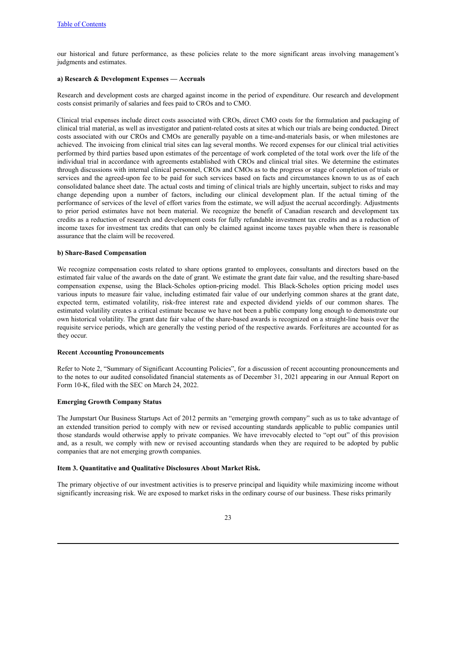our historical and future performance, as these policies relate to the more significant areas involving management's judgments and estimates.

#### **a) Research & Development Expenses — Accruals**

Research and development costs are charged against income in the period of expenditure. Our research and development costs consist primarily of salaries and fees paid to CROs and to CMO.

Clinical trial expenses include direct costs associated with CROs, direct CMO costs for the formulation and packaging of clinical trial material, as well as investigator and patient-related costs at sites at which our trials are being conducted. Direct costs associated with our CROs and CMOs are generally payable on a time-and-materials basis, or when milestones are achieved. The invoicing from clinical trial sites can lag several months. We record expenses for our clinical trial activities performed by third parties based upon estimates of the percentage of work completed of the total work over the life of the individual trial in accordance with agreements established with CROs and clinical trial sites. We determine the estimates through discussions with internal clinical personnel, CROs and CMOs as to the progress or stage of completion of trials or services and the agreed-upon fee to be paid for such services based on facts and circumstances known to us as of each consolidated balance sheet date. The actual costs and timing of clinical trials are highly uncertain, subject to risks and may change depending upon a number of factors, including our clinical development plan. If the actual timing of the performance of services of the level of effort varies from the estimate, we will adjust the accrual accordingly. Adjustments to prior period estimates have not been material. We recognize the benefit of Canadian research and development tax credits as a reduction of research and development costs for fully refundable investment tax credits and as a reduction of income taxes for investment tax credits that can only be claimed against income taxes payable when there is reasonable assurance that the claim will be recovered.

#### **b) Share-Based Compensation**

We recognize compensation costs related to share options granted to employees, consultants and directors based on the estimated fair value of the awards on the date of grant. We estimate the grant date fair value, and the resulting share-based compensation expense, using the Black-Scholes option-pricing model. This Black-Scholes option pricing model uses various inputs to measure fair value, including estimated fair value of our underlying common shares at the grant date, expected term, estimated volatility, risk-free interest rate and expected dividend yields of our common shares. The estimated volatility creates a critical estimate because we have not been a public company long enough to demonstrate our own historical volatility. The grant date fair value of the share-based awards is recognized on a straight-line basis over the requisite service periods, which are generally the vesting period of the respective awards. Forfeitures are accounted for as they occur.

#### **Recent Accounting Pronouncements**

Refer to Note 2, "Summary of Significant Accounting Policies", for a discussion of recent accounting pronouncements and to the notes to our audited consolidated financial statements as of December 31, 2021 appearing in our Annual Report on Form 10-K, filed with the SEC on March 24, 2022.

#### **Emerging Growth Company Status**

The Jumpstart Our Business Startups Act of 2012 permits an "emerging growth company" such as us to take advantage of an extended transition period to comply with new or revised accounting standards applicable to public companies until those standards would otherwise apply to private companies. We have irrevocably elected to "opt out" of this provision and, as a result, we comply with new or revised accounting standards when they are required to be adopted by public companies that are not emerging growth companies.

#### <span id="page-24-0"></span>**Item 3. Quantitative and Qualitative Disclosures About Market Risk.**

The primary objective of our investment activities is to preserve principal and liquidity while maximizing income without significantly increasing risk. We are exposed to market risks in the ordinary course of our business. These risks primarily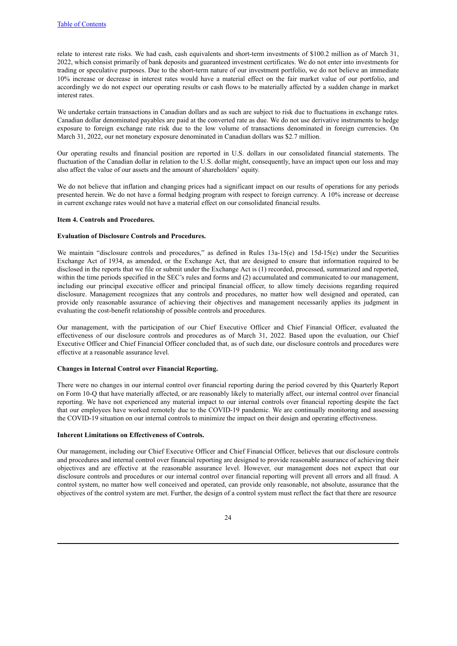relate to interest rate risks. We had cash, cash equivalents and short-term investments of \$100.2 million as of March 31, 2022, which consist primarily of bank deposits and guaranteed investment certificates. We do not enter into investments for trading or speculative purposes. Due to the short-term nature of our investment portfolio, we do not believe an immediate 10% increase or decrease in interest rates would have a material effect on the fair market value of our portfolio, and accordingly we do not expect our operating results or cash flows to be materially affected by a sudden change in market interest rates.

We undertake certain transactions in Canadian dollars and as such are subject to risk due to fluctuations in exchange rates. Canadian dollar denominated payables are paid at the converted rate as due. We do not use derivative instruments to hedge exposure to foreign exchange rate risk due to the low volume of transactions denominated in foreign currencies. On March 31, 2022, our net monetary exposure denominated in Canadian dollars was \$2.7 million.

Our operating results and financial position are reported in U.S. dollars in our consolidated financial statements. The fluctuation of the Canadian dollar in relation to the U.S. dollar might, consequently, have an impact upon our loss and may also affect the value of our assets and the amount of shareholders' equity.

We do not believe that inflation and changing prices had a significant impact on our results of operations for any periods presented herein. We do not have a formal hedging program with respect to foreign currency. A 10% increase or decrease in current exchange rates would not have a material effect on our consolidated financial results.

#### <span id="page-25-0"></span>**Item 4. Controls and Procedures.**

#### **Evaluation of Disclosure Controls and Procedures.**

We maintain "disclosure controls and procedures," as defined in Rules 13a-15(e) and 15d-15(e) under the Securities Exchange Act of 1934, as amended, or the Exchange Act, that are designed to ensure that information required to be disclosed in the reports that we file or submit under the Exchange Act is (1) recorded, processed, summarized and reported, within the time periods specified in the SEC's rules and forms and (2) accumulated and communicated to our management, including our principal executive officer and principal financial officer, to allow timely decisions regarding required disclosure. Management recognizes that any controls and procedures, no matter how well designed and operated, can provide only reasonable assurance of achieving their objectives and management necessarily applies its judgment in evaluating the cost-benefit relationship of possible controls and procedures.

Our management, with the participation of our Chief Executive Officer and Chief Financial Officer, evaluated the effectiveness of our disclosure controls and procedures as of March 31, 2022. Based upon the evaluation, our Chief Executive Officer and Chief Financial Officer concluded that, as of such date, our disclosure controls and procedures were effective at a reasonable assurance level.

#### **Changes in Internal Control over Financial Reporting.**

There were no changes in our internal control over financial reporting during the period covered by this Quarterly Report on Form 10-Q that have materially affected, or are reasonably likely to materially affect, our internal control over financial reporting. We have not experienced any material impact to our internal controls over financial reporting despite the fact that our employees have worked remotely due to the COVID-19 pandemic. We are continually monitoring and assessing the COVID-19 situation on our internal controls to minimize the impact on their design and operating effectiveness.

#### **Inherent Limitations on Effectiveness of Controls.**

Our management, including our Chief Executive Officer and Chief Financial Officer, believes that our disclosure controls and procedures and internal control over financial reporting are designed to provide reasonable assurance of achieving their objectives and are effective at the reasonable assurance level. However, our management does not expect that our disclosure controls and procedures or our internal control over financial reporting will prevent all errors and all fraud. A control system, no matter how well conceived and operated, can provide only reasonable, not absolute, assurance that the objectives of the control system are met. Further, the design of a control system must reflect the fact that there are resource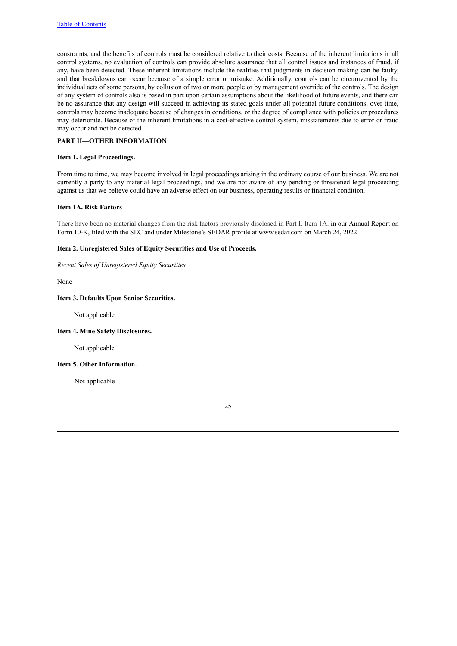constraints, and the benefits of controls must be considered relative to their costs. Because of the inherent limitations in all control systems, no evaluation of controls can provide absolute assurance that all control issues and instances of fraud, if any, have been detected. These inherent limitations include the realities that judgments in decision making can be faulty, and that breakdowns can occur because of a simple error or mistake. Additionally, controls can be circumvented by the individual acts of some persons, by collusion of two or more people or by management override of the controls. The design of any system of controls also is based in part upon certain assumptions about the likelihood of future events, and there can be no assurance that any design will succeed in achieving its stated goals under all potential future conditions; over time, controls may become inadequate because of changes in conditions, or the degree of compliance with policies or procedures may deteriorate. Because of the inherent limitations in a cost-effective control system, misstatements due to error or fraud may occur and not be detected.

# <span id="page-26-0"></span>**PART II—OTHER INFORMATION**

#### <span id="page-26-1"></span>**Item 1. Legal Proceedings.**

From time to time, we may become involved in legal proceedings arising in the ordinary course of our business. We are not currently a party to any material legal proceedings, and we are not aware of any pending or threatened legal proceeding against us that we believe could have an adverse effect on our business, operating results or financial condition.

#### <span id="page-26-2"></span>**Item 1A. Risk Factors**

There have been no material changes from the risk factors previously disclosed in Part I, Item 1A. in our Annual Report on Form 10-K, filed with the SEC and under Milestone's SEDAR profile at www.sedar.com on March 24, 2022.

#### <span id="page-26-3"></span>**Item 2. Unregistered Sales of Equity Securities and Use of Proceeds.**

*Recent Sales of Unregistered Equity Securities*

None

# <span id="page-26-4"></span>**Item 3. Defaults Upon Senior Securities.**

Not applicable

#### <span id="page-26-5"></span>**Item 4. Mine Safety Disclosures.**

Not applicable

#### <span id="page-26-6"></span>**Item 5. Other Information.**

Not applicable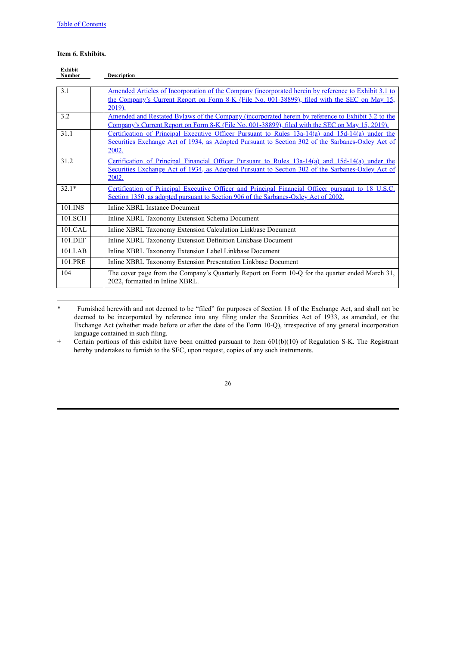# <span id="page-27-0"></span>**Item 6. Exhibits.**

| Exhibit<br><b>Number</b> | Description                                                                                                 |
|--------------------------|-------------------------------------------------------------------------------------------------------------|
|                          |                                                                                                             |
| 3.1                      | <u>Amended Articles of Incorporation of the Company (incorporated herein by reference to Exhibit 3.1 to</u> |
|                          | the Company's Current Report on Form 8-K (File No. 001-38899), filed with the SEC on May 15,                |
|                          | 2019).                                                                                                      |
| 3.2                      | <u>Amended and Restated Bylaws of the Company (incorporated herein by reference to Exhibit 3.2 to the</u>   |
|                          | Company's Current Report on Form 8-K (File No. 001-38899), filed with the SEC on May 15, 2019).             |
| 31.1                     | Certification of Principal Executive Officer Pursuant to Rules $13a-14(a)$ and $15d-14(a)$ under the        |
|                          | Securities Exchange Act of 1934, as Adopted Pursuant to Section 302 of the Sarbanes-Oxley Act of            |
|                          | 2002.                                                                                                       |
| 31.2                     | Certification of Principal Financial Officer Pursuant to Rules 13a-14(a) and 15d-14(a) under the            |
|                          | Securities Exchange Act of 1934, as Adopted Pursuant to Section 302 of the Sarbanes-Oxley Act of            |
|                          | 2002.                                                                                                       |
| $32.1*$                  | Certification of Principal Executive Officer and Principal Financial Officer pursuant to 18 U.S.C.          |
|                          | Section 1350, as adopted pursuant to Section 906 of the Sarbanes-Oxley Act of 2002.                         |
| 101.INS                  | Inline XBRL Instance Document                                                                               |
| 101.SCH                  | Inline XBRL Taxonomy Extension Schema Document                                                              |
| 101.CAL                  | Inline XBRL Taxonomy Extension Calculation Linkbase Document                                                |
| 101.DEF                  | Inline XBRL Taxonomy Extension Definition Linkbase Document                                                 |
| 101.LAB                  | Inline XBRL Taxonomy Extension Label Linkbase Document                                                      |
| 101.PRE                  | Inline XBRL Taxonomy Extension Presentation Linkbase Document                                               |
| 104                      | The cover page from the Company's Quarterly Report on Form 10-Q for the quarter ended March 31,             |
|                          | 2022, formatted in Inline XBRL.                                                                             |

<sup>\*</sup> Furnished herewith and not deemed to be "filed" for purposes of Section 18 of the Exchange Act, and shall not be deemed to be incorporated by reference into any filing under the Securities Act of 1933, as amended, or the Exchange Act (whether made before or after the date of the Form 10-Q), irrespective of any general incorporation language contained in such filing.

+ Certain portions of this exhibit have been omitted pursuant to Item 601(b)(10) of Regulation S-K. The Registrant hereby undertakes to furnish to the SEC, upon request, copies of any such instruments.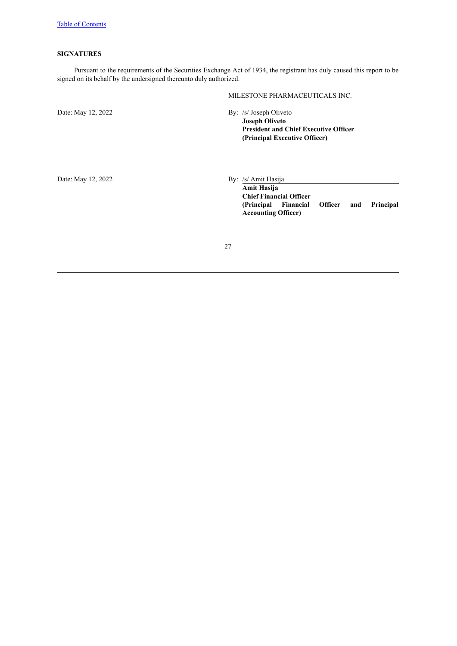# **SIGNATURES**

Pursuant to the requirements of the Securities Exchange Act of 1934, the registrant has duly caused this report to be signed on its behalf by the undersigned thereunto duly authorized.

Date: May 12, 2022 By: /s/ Joseph Oliveto

MILESTONE PHARMACEUTICALS INC.

**Joseph Oliveto President and Chief Executive Officer (Principal Executive Officer)**

Date: May 12, 2022 By: /s/ Amit Hasija

**Amit Hasija Chief Financial Officer (Principal Financial Officer and Principal Accounting Officer)**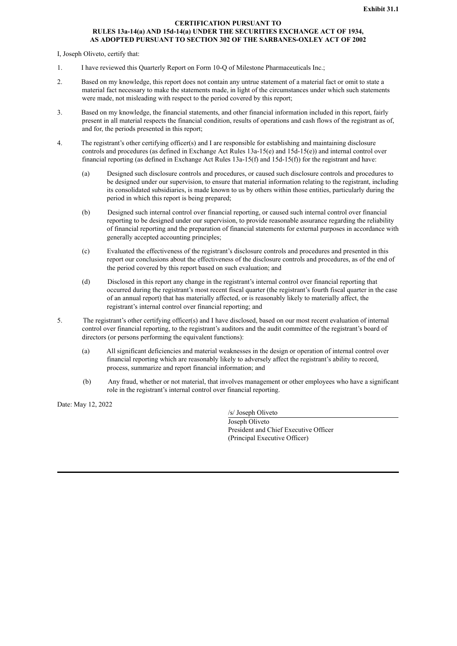## **CERTIFICATION PURSUANT TO RULES 13a-14(a) AND 15d-14(a) UNDER THE SECURITIES EXCHANGE ACT OF 1934, AS ADOPTED PURSUANT TO SECTION 302 OF THE SARBANES-OXLEY ACT OF 2002**

<span id="page-29-0"></span>I, Joseph Oliveto, certify that:

- 1. I have reviewed this Quarterly Report on Form 10-Q of Milestone Pharmaceuticals Inc.;
- 2. Based on my knowledge, this report does not contain any untrue statement of a material fact or omit to state a material fact necessary to make the statements made, in light of the circumstances under which such statements were made, not misleading with respect to the period covered by this report;
- 3. Based on my knowledge, the financial statements, and other financial information included in this report, fairly present in all material respects the financial condition, results of operations and cash flows of the registrant as of, and for, the periods presented in this report;
- 4. The registrant's other certifying officer(s) and I are responsible for establishing and maintaining disclosure controls and procedures (as defined in Exchange Act Rules 13a-15(e) and 15d-15(e)) and internal control over financial reporting (as defined in Exchange Act Rules 13a-15(f) and 15d-15(f)) for the registrant and have:
	- (a) Designed such disclosure controls and procedures, or caused such disclosure controls and procedures to be designed under our supervision, to ensure that material information relating to the registrant, including its consolidated subsidiaries, is made known to us by others within those entities, particularly during the period in which this report is being prepared;
	- (b) Designed such internal control over financial reporting, or caused such internal control over financial reporting to be designed under our supervision, to provide reasonable assurance regarding the reliability of financial reporting and the preparation of financial statements for external purposes in accordance with generally accepted accounting principles;
	- (c) Evaluated the effectiveness of the registrant's disclosure controls and procedures and presented in this report our conclusions about the effectiveness of the disclosure controls and procedures, as of the end of the period covered by this report based on such evaluation; and
	- (d) Disclosed in this report any change in the registrant's internal control over financial reporting that occurred during the registrant's most recent fiscal quarter (the registrant's fourth fiscal quarter in the case of an annual report) that has materially affected, or is reasonably likely to materially affect, the registrant's internal control over financial reporting; and
- 5. The registrant's other certifying officer(s) and I have disclosed, based on our most recent evaluation of internal control over financial reporting, to the registrant's auditors and the audit committee of the registrant's board of directors (or persons performing the equivalent functions):
	- (a) All significant deficiencies and material weaknesses in the design or operation of internal control over financial reporting which are reasonably likely to adversely affect the registrant's ability to record, process, summarize and report financial information; and
	- (b) Any fraud, whether or not material, that involves management or other employees who have a significant role in the registrant's internal control over financial reporting.

Date: May 12, 2022

/s/ Joseph Oliveto

Joseph Oliveto President and Chief Executive Officer (Principal Executive Officer)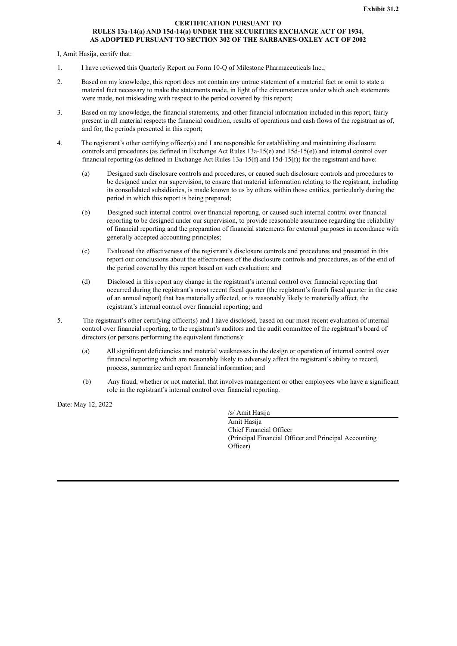## **CERTIFICATION PURSUANT TO RULES 13a-14(a) AND 15d-14(a) UNDER THE SECURITIES EXCHANGE ACT OF 1934, AS ADOPTED PURSUANT TO SECTION 302 OF THE SARBANES-OXLEY ACT OF 2002**

<span id="page-30-0"></span>I, Amit Hasija, certify that:

- 1. I have reviewed this Quarterly Report on Form 10-Q of Milestone Pharmaceuticals Inc.;
- 2. Based on my knowledge, this report does not contain any untrue statement of a material fact or omit to state a material fact necessary to make the statements made, in light of the circumstances under which such statements were made, not misleading with respect to the period covered by this report;
- 3. Based on my knowledge, the financial statements, and other financial information included in this report, fairly present in all material respects the financial condition, results of operations and cash flows of the registrant as of, and for, the periods presented in this report;
- 4. The registrant's other certifying officer(s) and I are responsible for establishing and maintaining disclosure controls and procedures (as defined in Exchange Act Rules 13a-15(e) and 15d-15(e)) and internal control over financial reporting (as defined in Exchange Act Rules 13a-15(f) and 15d-15(f)) for the registrant and have:
	- (a) Designed such disclosure controls and procedures, or caused such disclosure controls and procedures to be designed under our supervision, to ensure that material information relating to the registrant, including its consolidated subsidiaries, is made known to us by others within those entities, particularly during the period in which this report is being prepared;
	- (b) Designed such internal control over financial reporting, or caused such internal control over financial reporting to be designed under our supervision, to provide reasonable assurance regarding the reliability of financial reporting and the preparation of financial statements for external purposes in accordance with generally accepted accounting principles;
	- (c) Evaluated the effectiveness of the registrant's disclosure controls and procedures and presented in this report our conclusions about the effectiveness of the disclosure controls and procedures, as of the end of the period covered by this report based on such evaluation; and
	- (d) Disclosed in this report any change in the registrant's internal control over financial reporting that occurred during the registrant's most recent fiscal quarter (the registrant's fourth fiscal quarter in the case of an annual report) that has materially affected, or is reasonably likely to materially affect, the registrant's internal control over financial reporting; and
- 5. The registrant's other certifying officer(s) and I have disclosed, based on our most recent evaluation of internal control over financial reporting, to the registrant's auditors and the audit committee of the registrant's board of directors (or persons performing the equivalent functions):
	- (a) All significant deficiencies and material weaknesses in the design or operation of internal control over financial reporting which are reasonably likely to adversely affect the registrant's ability to record, process, summarize and report financial information; and
	- (b) Any fraud, whether or not material, that involves management or other employees who have a significant role in the registrant's internal control over financial reporting.

Date: May 12, 2022

/s/ Amit Hasija Amit Hasija Chief Financial Officer (Principal Financial Officer and Principal Accounting Officer)